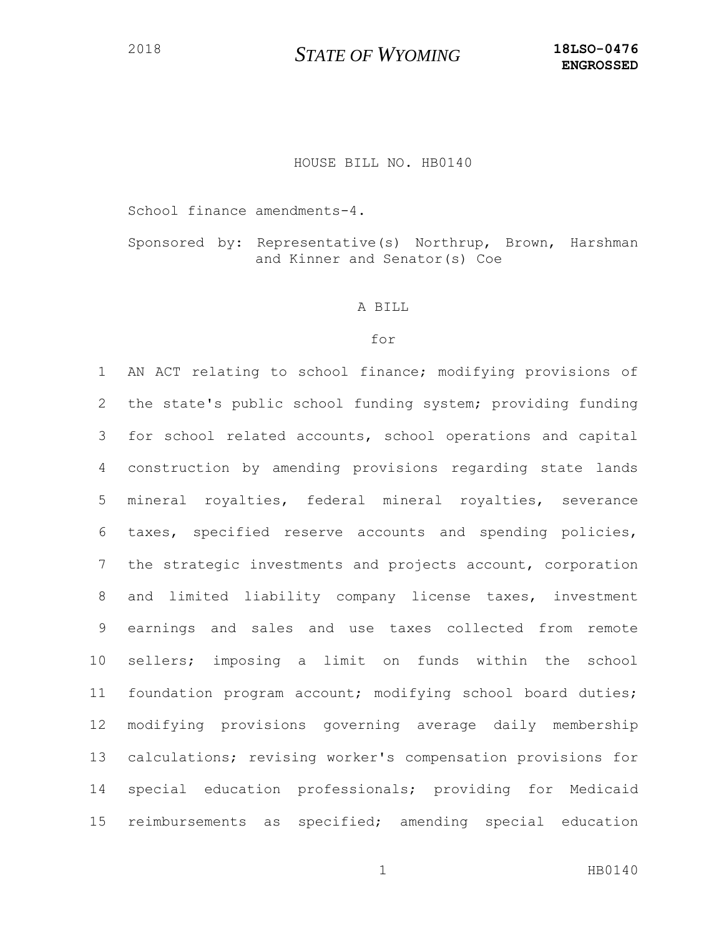## HOUSE BILL NO. HB0140

School finance amendments-4.

Sponsored by: Representative(s) Northrup, Brown, Harshman and Kinner and Senator(s) Coe

#### A BILL

## for

 AN ACT relating to school finance; modifying provisions of the state's public school funding system; providing funding for school related accounts, school operations and capital construction by amending provisions regarding state lands mineral royalties, federal mineral royalties, severance taxes, specified reserve accounts and spending policies, the strategic investments and projects account, corporation and limited liability company license taxes, investment earnings and sales and use taxes collected from remote sellers; imposing a limit on funds within the school foundation program account; modifying school board duties; modifying provisions governing average daily membership calculations; revising worker's compensation provisions for special education professionals; providing for Medicaid reimbursements as specified; amending special education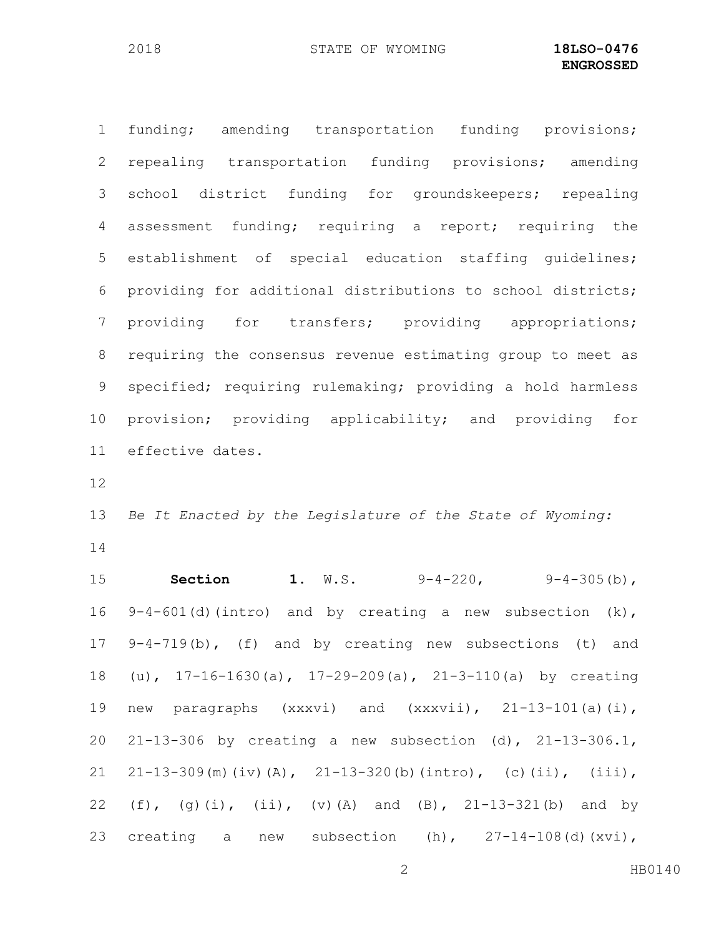funding; amending transportation funding provisions; repealing transportation funding provisions; amending school district funding for groundskeepers; repealing assessment funding; requiring a report; requiring the establishment of special education staffing guidelines; providing for additional distributions to school districts; providing for transfers; providing appropriations; requiring the consensus revenue estimating group to meet as specified; requiring rulemaking; providing a hold harmless provision; providing applicability; and providing for effective dates.

 *Be It Enacted by the Legislature of the State of Wyoming:* 

 **Section 1.** W.S. 9-4-220, 9-4-305(b), 9-4-601(d)(intro) and by creating a new subsection (k), 9-4-719(b), (f) and by creating new subsections (t) and (u), 17-16-1630(a), 17-29-209(a), 21-3-110(a) by creating new paragraphs (xxxvi) and (xxxvii), 21-13-101(a)(i), 21-13-306 by creating a new subsection (d), 21-13-306.1, 21 21-13-309(m)(iv)(A), 21-13-320(b)(intro), (c)(ii), (iii), (f), (g)(i), (ii), (v)(A) and (B), 21-13-321(b) and by 23 creating a new subsection  $(h)$ ,  $27-14-108$  (d)  $(xvi)$ ,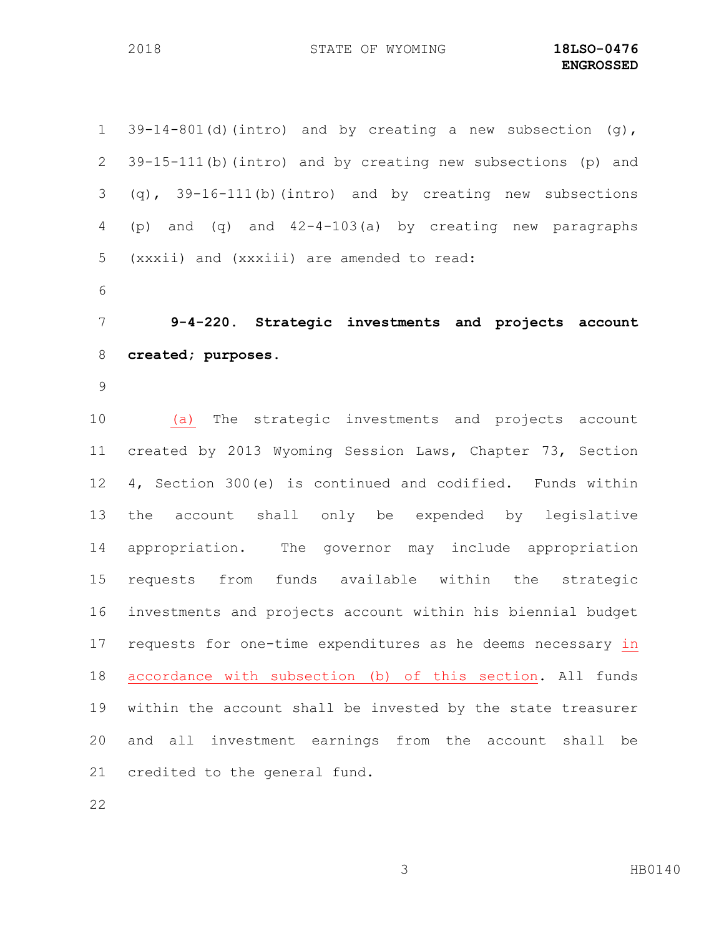39-14-801(d)(intro) and by creating a new subsection (g), 39-15-111(b)(intro) and by creating new subsections (p) and (q), 39-16-111(b)(intro) and by creating new subsections (p) and (q) and 42-4-103(a) by creating new paragraphs (xxxii) and (xxxiii) are amended to read: **9-4-220. Strategic investments and projects account created; purposes.** (a) The strategic investments and projects account created by 2013 Wyoming Session Laws, Chapter 73, Section 4, Section 300(e) is continued and codified. Funds within the account shall only be expended by legislative appropriation. The governor may include appropriation requests from funds available within the strategic investments and projects account within his biennial budget requests for one-time expenditures as he deems necessary in accordance with subsection (b) of this section. All funds within the account shall be invested by the state treasurer and all investment earnings from the account shall be credited to the general fund.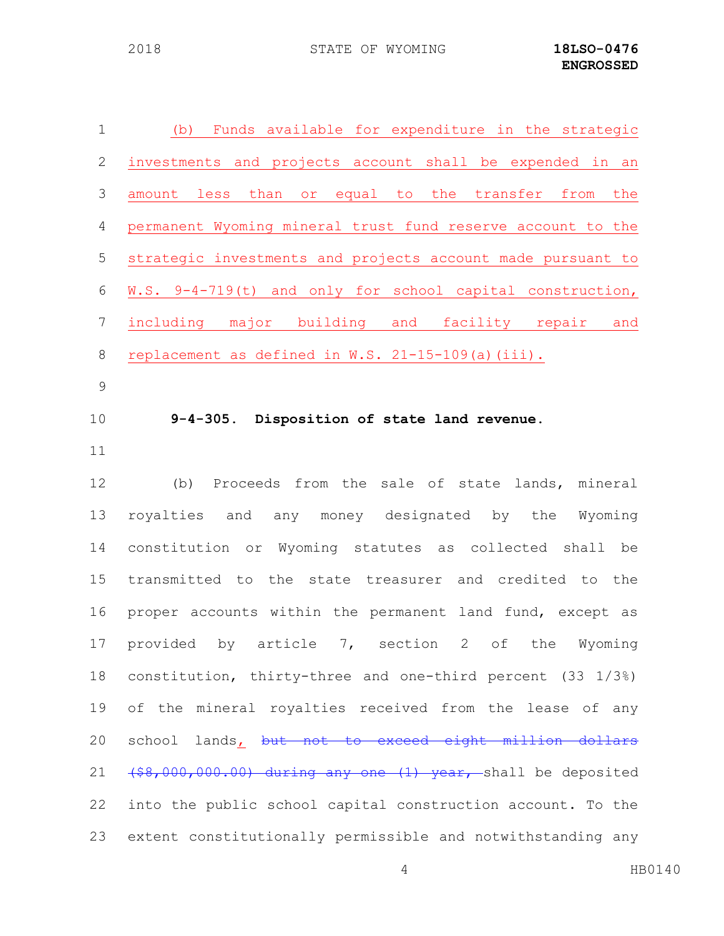| $1\,$            | Funds available for expenditure in the strategic<br>(b)                                         |
|------------------|-------------------------------------------------------------------------------------------------|
| $\mathbf{2}$     | investments and projects account shall be expended in an                                        |
| 3                | equal to the transfer<br>less<br>than<br>from<br>the<br>amount<br>Or                            |
| $\overline{4}$   | permanent Wyoming mineral trust fund reserve account to the                                     |
| 5                | strategic investments and projects account made pursuant to                                     |
| 6                | W.S. 9-4-719(t) and only for school capital construction,                                       |
| $\boldsymbol{7}$ | including major building and<br>facility repair<br>and                                          |
| $\,8\,$          | replacement as defined in W.S. 21-15-109(a) (iii).                                              |
| $\mathsf 9$      |                                                                                                 |
| 10               | 9-4-305. Disposition of state land revenue.                                                     |
| 11               |                                                                                                 |
| 12               | Proceeds from the sale of state lands, mineral<br>(b)                                           |
| 13               | royalties<br>and<br>any money designated by<br>the<br>Wyoming                                   |
| 14               | constitution or Wyoming statutes as collected shall be                                          |
| 15               | transmitted to the state treasurer and credited to the                                          |
| 16               | proper accounts within the permanent land fund, except as                                       |
| 17               | provided<br>by article<br>7 <sub>1</sub><br>section<br>$2 \overline{ }$<br>of<br>the<br>Wyoming |
| 18               | constitution, thirty-three and one-third percent (33 1/3%)                                      |
| 19               | of the mineral royalties received from the lease of any                                         |
| 20               | school lands, but not to exceed eight million dollars                                           |
| 21               | (\$8,000,000.00) during any one (1) year, shall be deposited                                    |
| 22               | into the public school capital construction account. To the                                     |
| 23               | extent constitutionally permissible and notwithstanding any                                     |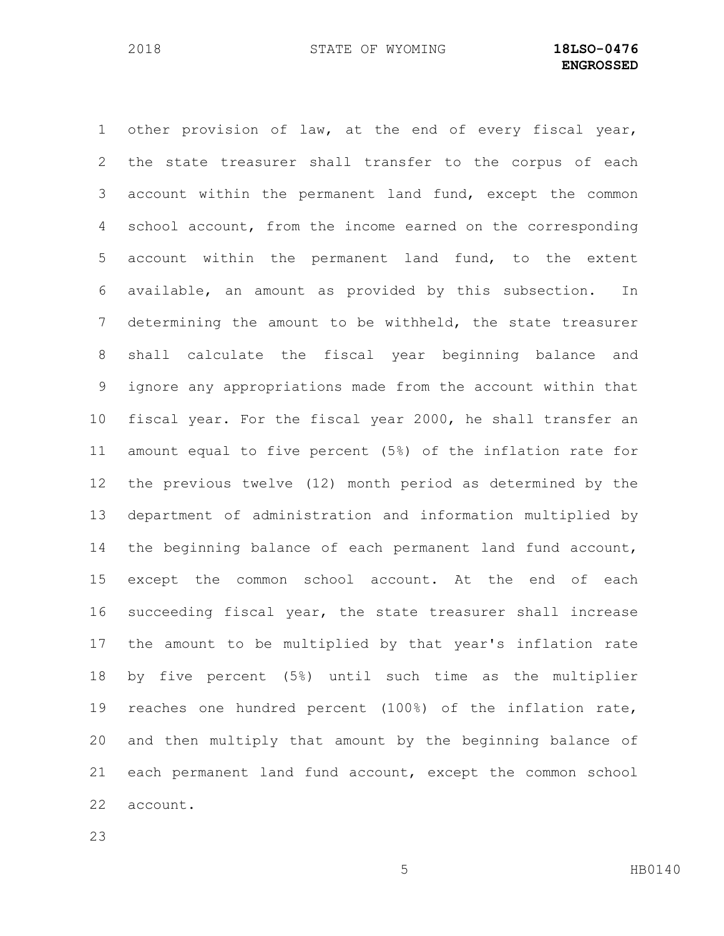other provision of law, at the end of every fiscal year, the state treasurer shall transfer to the corpus of each account within the permanent land fund, except the common 4 school account, from the income earned on the corresponding account within the permanent land fund, to the extent available, an amount as provided by this subsection. In determining the amount to be withheld, the state treasurer shall calculate the fiscal year beginning balance and ignore any appropriations made from the account within that fiscal year. For the fiscal year 2000, he shall transfer an amount equal to five percent (5%) of the inflation rate for the previous twelve (12) month period as determined by the department of administration and information multiplied by the beginning balance of each permanent land fund account, except the common school account. At the end of each succeeding fiscal year, the state treasurer shall increase the amount to be multiplied by that year's inflation rate by five percent (5%) until such time as the multiplier reaches one hundred percent (100%) of the inflation rate, and then multiply that amount by the beginning balance of each permanent land fund account, except the common school account.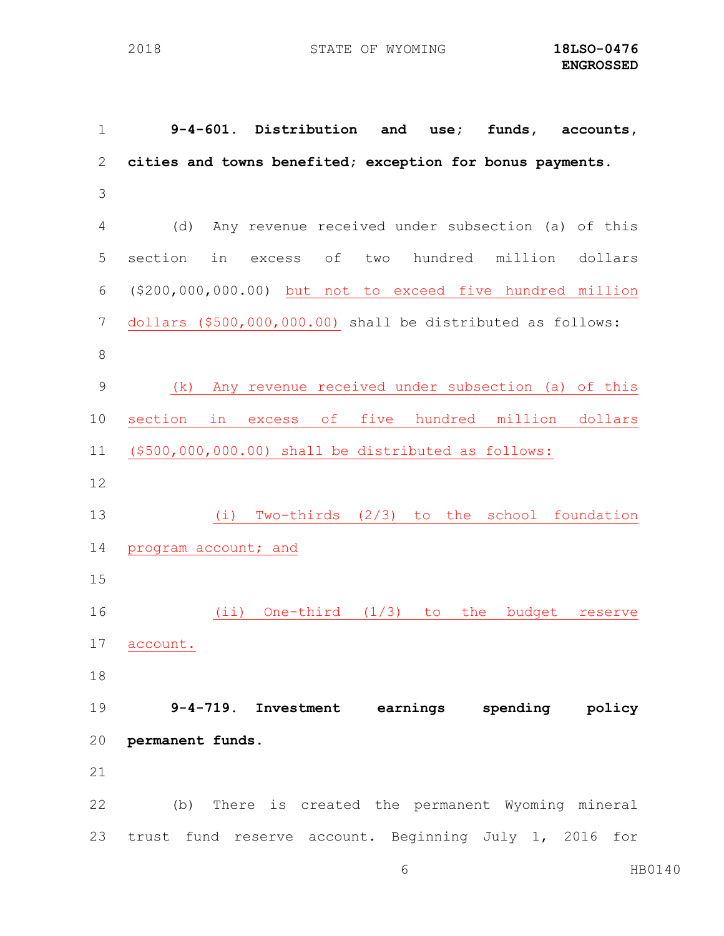**9-4-601. Distribution and use; funds, accounts, cities and towns benefited; exception for bonus payments.** (d) Any revenue received under subsection (a) of this section in excess of two hundred million dollars (\$200,000,000.00) but not to exceed five hundred million dollars (\$500,000,000.00) shall be distributed as follows: (k) Any revenue received under subsection (a) of this section in excess of five hundred million dollars (\$500,000,000.00) shall be distributed as follows: (i) Two-thirds (2/3) to the school foundation 14 program account; and (ii) One-third (1/3) to the budget reserve account. **9-4-719. Investment earnings spending policy permanent funds.** (b) There is created the permanent Wyoming mineral trust fund reserve account. Beginning July 1, 2016 for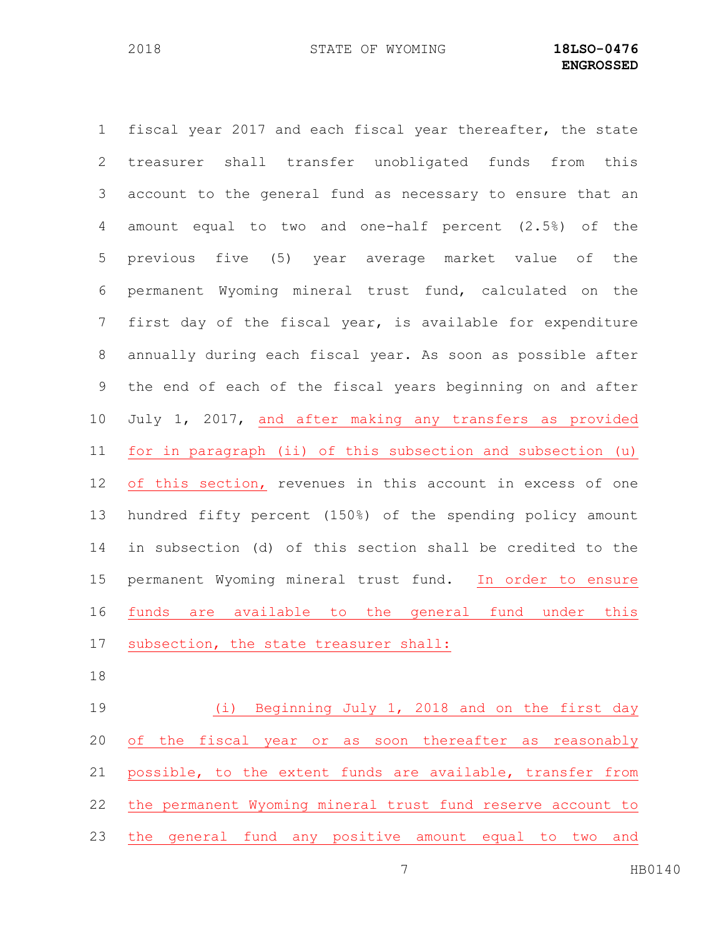fiscal year 2017 and each fiscal year thereafter, the state treasurer shall transfer unobligated funds from this account to the general fund as necessary to ensure that an amount equal to two and one-half percent (2.5%) of the previous five (5) year average market value of the permanent Wyoming mineral trust fund, calculated on the first day of the fiscal year, is available for expenditure annually during each fiscal year. As soon as possible after the end of each of the fiscal years beginning on and after July 1, 2017, and after making any transfers as provided for in paragraph (ii) of this subsection and subsection (u) of this section, revenues in this account in excess of one hundred fifty percent (150%) of the spending policy amount in subsection (d) of this section shall be credited to the permanent Wyoming mineral trust fund. In order to ensure funds are available to the general fund under this subsection, the state treasurer shall:

 (i) Beginning July 1, 2018 and on the first day of the fiscal year or as soon thereafter as reasonably possible, to the extent funds are available, transfer from the permanent Wyoming mineral trust fund reserve account to the general fund any positive amount equal to two and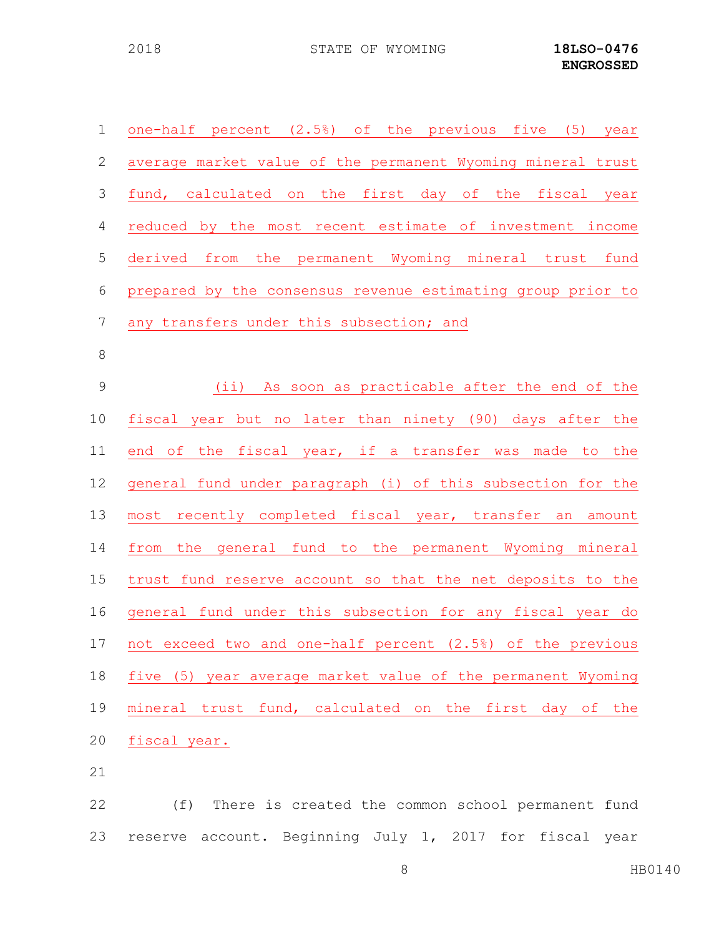| $\mathbf 1$     | one-half percent (2.5%) of the previous five (5) year       |
|-----------------|-------------------------------------------------------------|
| 2               | average market value of the permanent Wyoming mineral trust |
| 3               | fund, calculated on the first day of the fiscal year        |
| 4               | reduced by the most recent estimate of investment income    |
| 5               | derived from the permanent Wyoming mineral trust fund       |
| 6               | prepared by the consensus revenue estimating group prior to |
| $7\phantom{.0}$ | any transfers under this subsection; and                    |
| $8\,$           |                                                             |
| $\overline{9}$  | (ii) As soon as practicable after the end of the            |
| 10              | fiscal year but no later than ninety (90) days after the    |
| 11              | end of the fiscal year, if a transfer was made to the       |
| 12              | general fund under paragraph (i) of this subsection for the |
| 13              | most recently completed fiscal year, transfer an amount     |
| 14              | from the general fund to the permanent Wyoming mineral      |
| 15              | trust fund reserve account so that the net deposits to the  |
| 16              | general fund under this subsection for any fiscal year do   |
| 17              | not exceed two and one-half percent (2.5%) of the previous  |
| 18              | five (5) year average market value of the permanent Wyoming |
| 19              | mineral trust fund, calculated on the first day of the      |
| 20              | fiscal year.                                                |
|                 |                                                             |

 (f) There is created the common school permanent fund reserve account. Beginning July 1, 2017 for fiscal year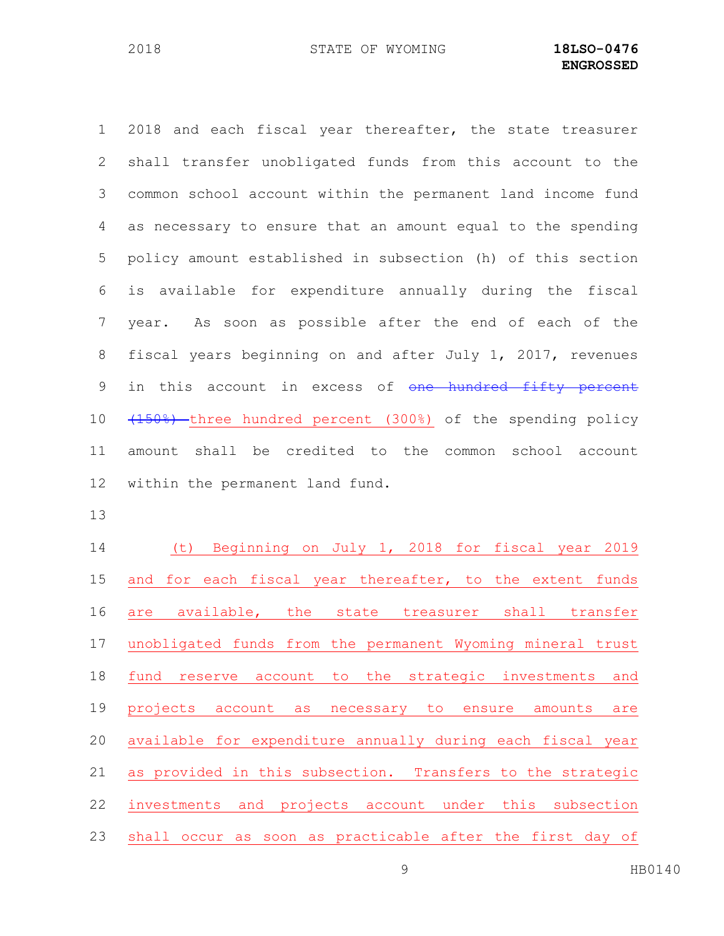2018 and each fiscal year thereafter, the state treasurer shall transfer unobligated funds from this account to the common school account within the permanent land income fund as necessary to ensure that an amount equal to the spending policy amount established in subsection (h) of this section is available for expenditure annually during the fiscal year. As soon as possible after the end of each of the fiscal years beginning on and after July 1, 2017, revenues 9 in this account in excess of one hundred fifty percent 10 (150%) three hundred percent (300%) of the spending policy amount shall be credited to the common school account within the permanent land fund.

 (t) Beginning on July 1, 2018 for fiscal year 2019 15 and for each fiscal year thereafter, to the extent funds are available, the state treasurer shall transfer unobligated funds from the permanent Wyoming mineral trust fund reserve account to the strategic investments and projects account as necessary to ensure amounts are available for expenditure annually during each fiscal year as provided in this subsection. Transfers to the strategic investments and projects account under this subsection shall occur as soon as practicable after the first day of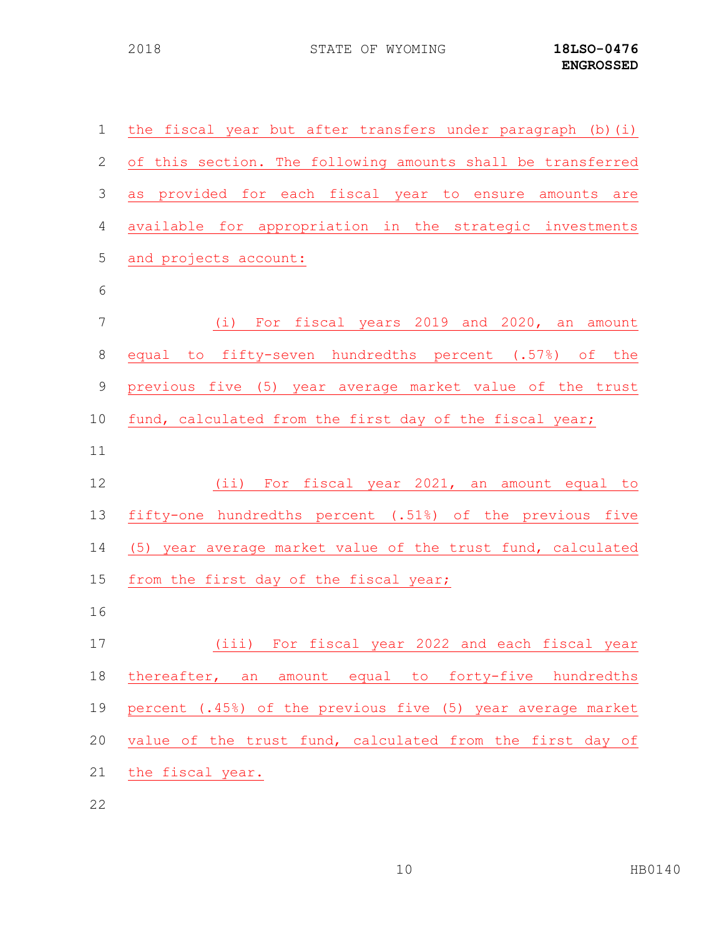| $\mathbf 1$ | the fiscal year but after transfers under paragraph (b) (i) |
|-------------|-------------------------------------------------------------|
| 2           | of this section. The following amounts shall be transferred |
| 3           | as provided for each fiscal year to ensure amounts are      |
| 4           | available for appropriation in the strategic investments    |
| 5           | and projects account:                                       |
| 6           |                                                             |
| 7           | (i) For fiscal years 2019 and 2020, an amount               |
| 8           | equal to fifty-seven hundredths percent (.57%) of the       |
| 9           | previous five (5) year average market value of the trust    |
| 10          | fund, calculated from the first day of the fiscal year;     |
| 11          |                                                             |
| 12          | (ii) For fiscal year 2021, an amount equal to               |
| 13          | fifty-one hundredths percent (.51%) of the previous five    |
|             |                                                             |
| 14          | (5) year average market value of the trust fund, calculated |
| 15          | from the first day of the fiscal year;                      |
| 16          |                                                             |
| 17          | (iii) For fiscal year 2022 and each fiscal year             |
| 18          | thereafter, an amount equal to forty-five hundredths        |
| 19          | percent (.45%) of the previous five (5) year average market |
| 20          | value of the trust fund, calculated from the first day of   |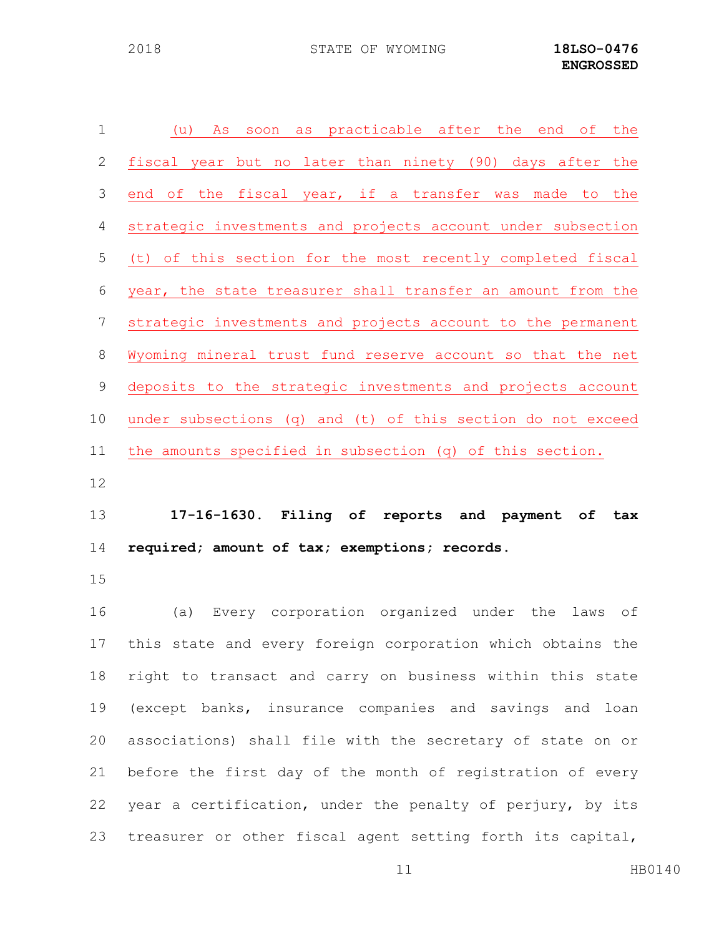| $\mathbf 1$  | as practicable after the end of the<br>As soon<br>(u)       |
|--------------|-------------------------------------------------------------|
| $\mathbf{2}$ | fiscal year but no later than ninety (90) days after the    |
| 3            | end of the fiscal year, if a transfer was made to the       |
| 4            | strategic investments and projects account under subsection |
| 5            | (t) of this section for the most recently completed fiscal  |
| 6            | year, the state treasurer shall transfer an amount from the |
| 7            | strategic investments and projects account to the permanent |
| $\,8\,$      | Wyoming mineral trust fund reserve account so that the net  |
| $\mathsf 9$  | deposits to the strategic investments and projects account  |
| 10           | under subsections (q) and (t) of this section do not exceed |
| 11           | the amounts specified in subsection (q) of this section.    |
|              |                                                             |
| 12           |                                                             |
| 13           | 17-16-1630. Filing of reports and payment of tax            |
| 14           | required; amount of tax; exemptions; records.               |
| 15           |                                                             |
| 16           | Every corporation organized under the<br>(a)<br>laws<br>оf  |
| 17           | this state and every foreign corporation which obtains the  |
| 18           | right to transact and carry on business within this state   |
| 19           | (except banks, insurance companies and savings and loan     |
| 20           | associations) shall file with the secretary of state on or  |
| 21           | before the first day of the month of registration of every  |
| 22           | year a certification, under the penalty of perjury, by its  |

11 HB0140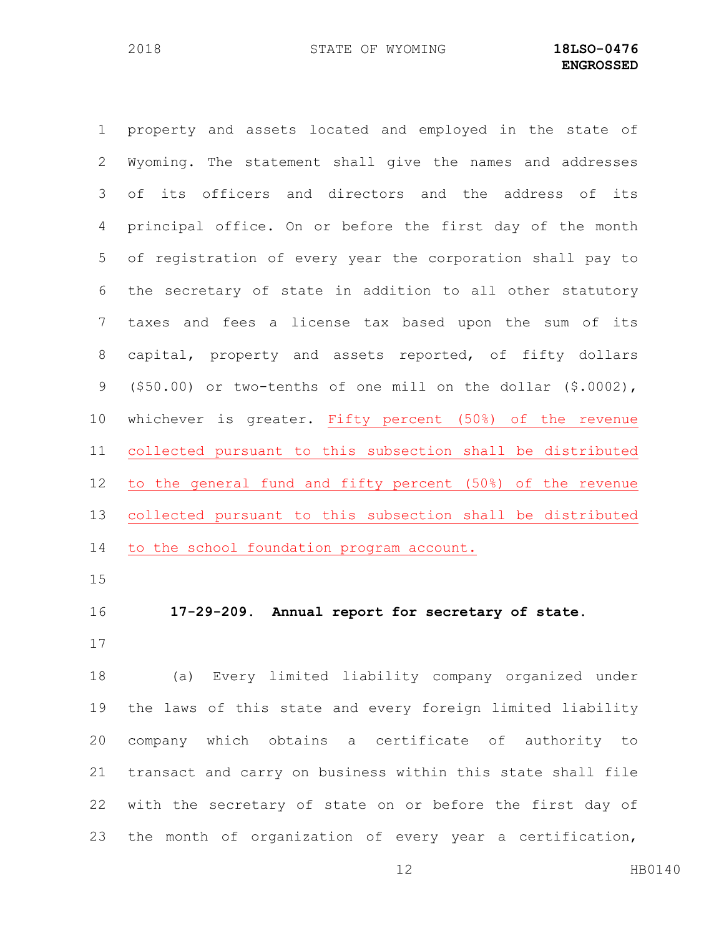property and assets located and employed in the state of Wyoming. The statement shall give the names and addresses of its officers and directors and the address of its principal office. On or before the first day of the month of registration of every year the corporation shall pay to the secretary of state in addition to all other statutory taxes and fees a license tax based upon the sum of its capital, property and assets reported, of fifty dollars (\$50.00) or two-tenths of one mill on the dollar (\$.0002), whichever is greater. Fifty percent (50%) of the revenue collected pursuant to this subsection shall be distributed to the general fund and fifty percent (50%) of the revenue collected pursuant to this subsection shall be distributed 14 to the school foundation program account.

### **17-29-209. Annual report for secretary of state.**

 (a) Every limited liability company organized under the laws of this state and every foreign limited liability company which obtains a certificate of authority to transact and carry on business within this state shall file with the secretary of state on or before the first day of the month of organization of every year a certification,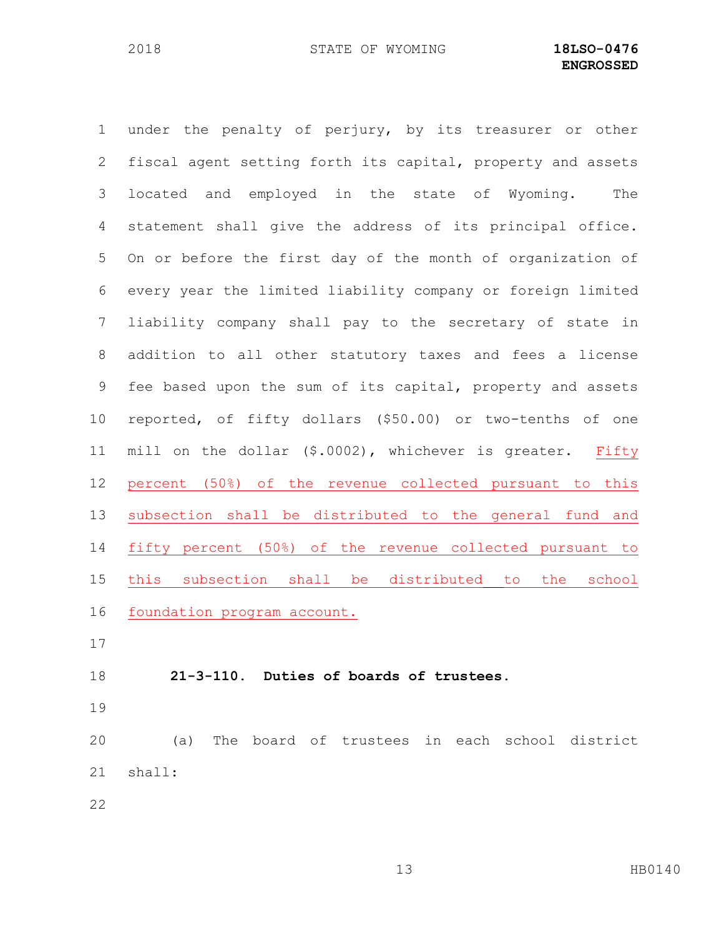under the penalty of perjury, by its treasurer or other fiscal agent setting forth its capital, property and assets located and employed in the state of Wyoming. The statement shall give the address of its principal office. On or before the first day of the month of organization of every year the limited liability company or foreign limited liability company shall pay to the secretary of state in addition to all other statutory taxes and fees a license fee based upon the sum of its capital, property and assets reported, of fifty dollars (\$50.00) or two-tenths of one mill on the dollar (\$.0002), whichever is greater. Fifty percent (50%) of the revenue collected pursuant to this subsection shall be distributed to the general fund and fifty percent (50%) of the revenue collected pursuant to this subsection shall be distributed to the school foundation program account. **21-3-110. Duties of boards of trustees.** 

 (a) The board of trustees in each school district shall: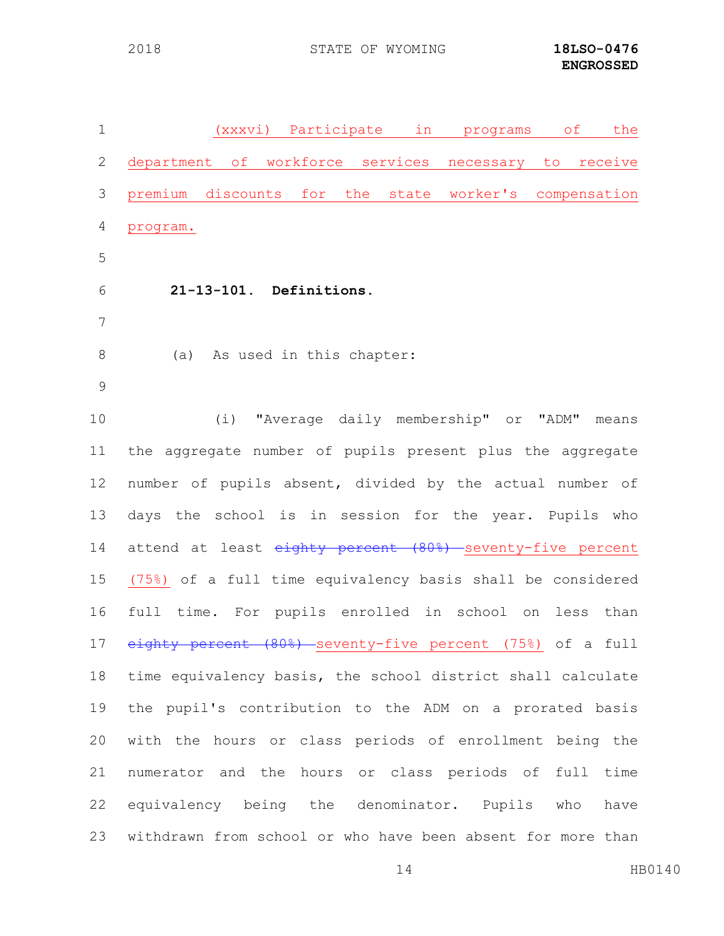| $\mathbf 1$ | (xxxvi) Participate in<br>$\circ$ f<br>the<br>programs                              |
|-------------|-------------------------------------------------------------------------------------|
| 2           | department of workforce services<br>necessary to receive                            |
| 3           | premium discounts for the state worker's compensation                               |
| 4           | program.                                                                            |
| 5           |                                                                                     |
| 6           | 21-13-101. Definitions.                                                             |
| 7           |                                                                                     |
| $8\,$       | (a) As used in this chapter:                                                        |
| 9           |                                                                                     |
| 10          | (i) "Average daily membership" or "ADM"<br>means                                    |
| 11          | the aggregate number of pupils present plus the aggregate                           |
| 12          | number of pupils absent, divided by the actual number of                            |
| 13          | days the school is in session for the year. Pupils who                              |
| 14          | attend at least eighty percent (80%) seventy-five percent                           |
| 15          | (75%) of a full time equivalency basis shall be considered                          |
| 16          | full time. For pupils enrolled in school on less than                               |
| 17          | <del>ghty percent (80%) seventy-five percent (75%)</del> of a full.<br>$\mathbf{e}$ |
| 18          | time equivalency basis, the school district shall calculate                         |
| 19          | the pupil's contribution to the ADM on a prorated basis                             |
| 20          | with the hours or class periods of enrollment being the                             |
| 21          | numerator and the hours or class periods of full time                               |
| 22          | equivalency being the denominator. Pupils who<br>have                               |
| 23          | withdrawn from school or who have been absent for more than                         |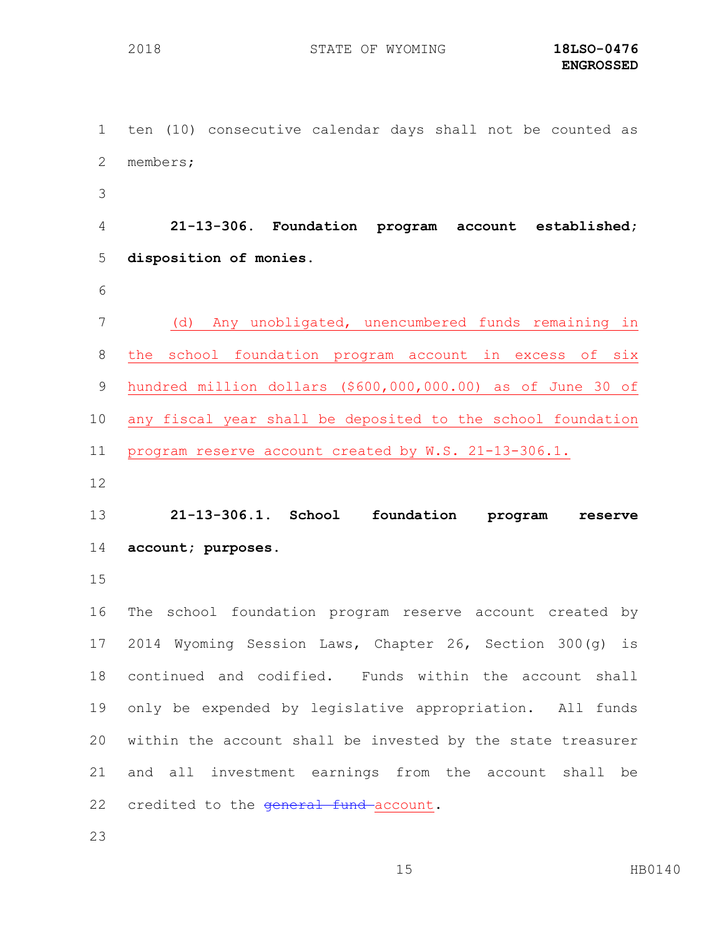ten (10) consecutive calendar days shall not be counted as members; **21-13-306. Foundation program account established; disposition of monies.** (d) Any unobligated, unencumbered funds remaining in the school foundation program account in excess of six

 hundred million dollars (\$600,000,000.00) as of June 30 of any fiscal year shall be deposited to the school foundation program reserve account created by W.S. 21-13-306.1.

 **21-13-306.1. School foundation program reserve account; purposes.**

 The school foundation program reserve account created by 2014 Wyoming Session Laws, Chapter 26, Section 300(g) is continued and codified. Funds within the account shall only be expended by legislative appropriation. All funds within the account shall be invested by the state treasurer and all investment earnings from the account shall be 22 credited to the general fund account.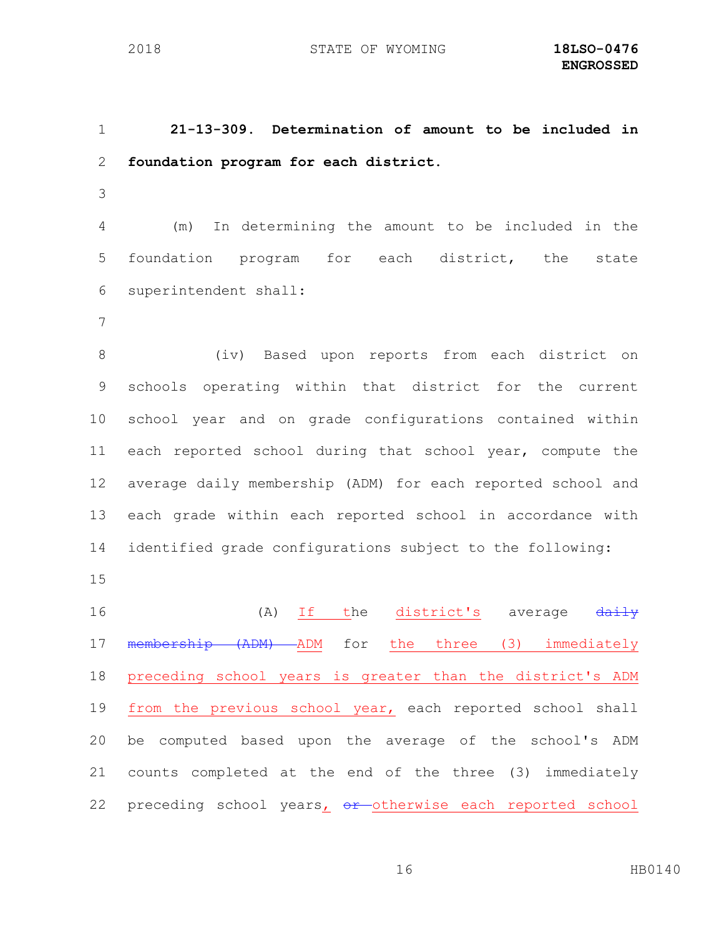**21-13-309. Determination of amount to be included in foundation program for each district.**

 (m) In determining the amount to be included in the foundation program for each district, the state superintendent shall:

 (iv) Based upon reports from each district on schools operating within that district for the current school year and on grade configurations contained within each reported school during that school year, compute the average daily membership (ADM) for each reported school and each grade within each reported school in accordance with identified grade configurations subject to the following:

16 (A) If the district's average  $\frac{d$ aily membership (ADM) ADM for the three (3) immediately preceding school years is greater than the district's ADM 19 from the previous school year, each reported school shall be computed based upon the average of the school's ADM counts completed at the end of the three (3) immediately 22 preceding school years, or otherwise each reported school

HB0140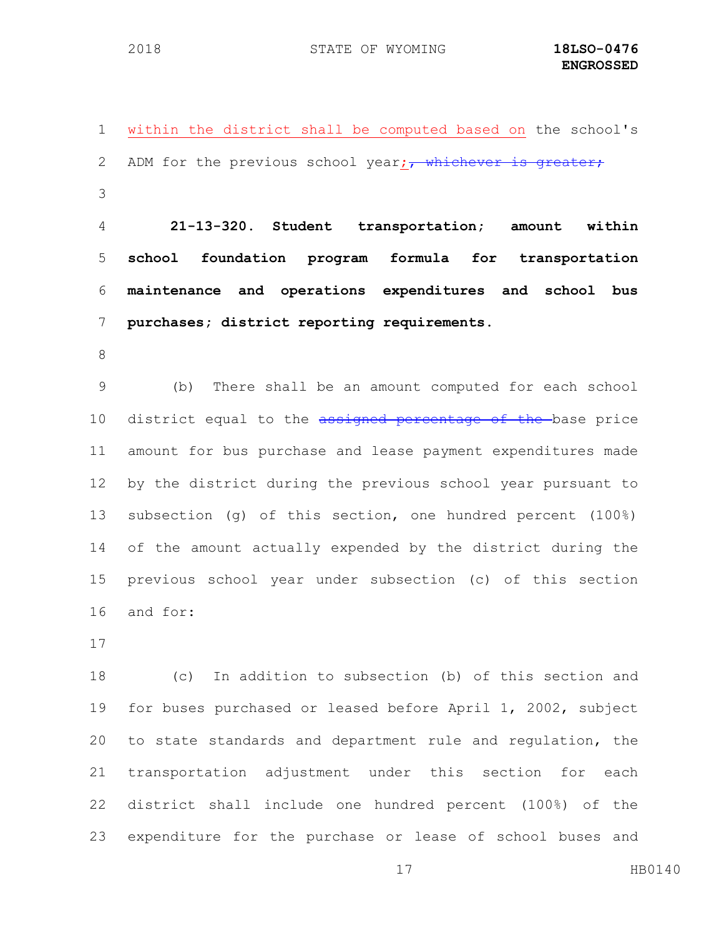within the district shall be computed based on the school's 2 ADM for the previous school year; $\frac{1}{1}$  whichever is greater; 

 **21-13-320. Student transportation; amount within school foundation program formula for transportation maintenance and operations expenditures and school bus purchases; district reporting requirements.**

 (b) There shall be an amount computed for each school 10 district equal to the assigned percentage of the base price amount for bus purchase and lease payment expenditures made by the district during the previous school year pursuant to subsection (g) of this section, one hundred percent (100%) of the amount actually expended by the district during the previous school year under subsection (c) of this section and for:

 (c) In addition to subsection (b) of this section and for buses purchased or leased before April 1, 2002, subject to state standards and department rule and regulation, the transportation adjustment under this section for each district shall include one hundred percent (100%) of the expenditure for the purchase or lease of school buses and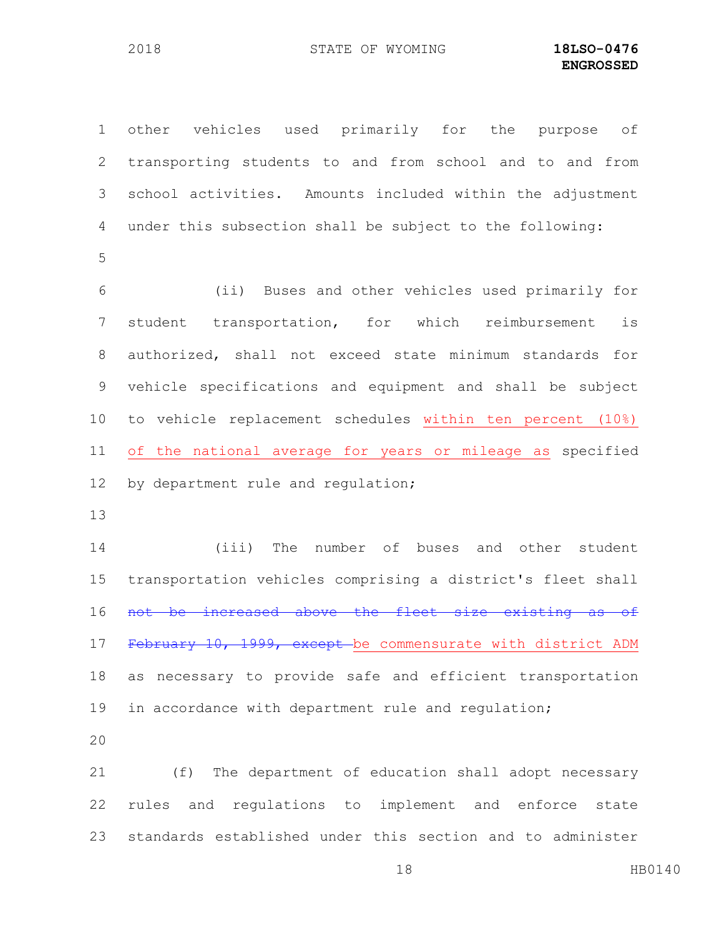other vehicles used primarily for the purpose of transporting students to and from school and to and from school activities. Amounts included within the adjustment under this subsection shall be subject to the following:

 (ii) Buses and other vehicles used primarily for student transportation, for which reimbursement is authorized, shall not exceed state minimum standards for vehicle specifications and equipment and shall be subject to vehicle replacement schedules within ten percent (10%) of the national average for years or mileage as specified 12 by department rule and regulation;

 (iii) The number of buses and other student transportation vehicles comprising a district's fleet shall 16 not be increased above the fleet size existing as of 17 February 10, 1999, except be commensurate with district ADM as necessary to provide safe and efficient transportation in accordance with department rule and regulation;

 (f) The department of education shall adopt necessary rules and regulations to implement and enforce state standards established under this section and to administer

18 HB0140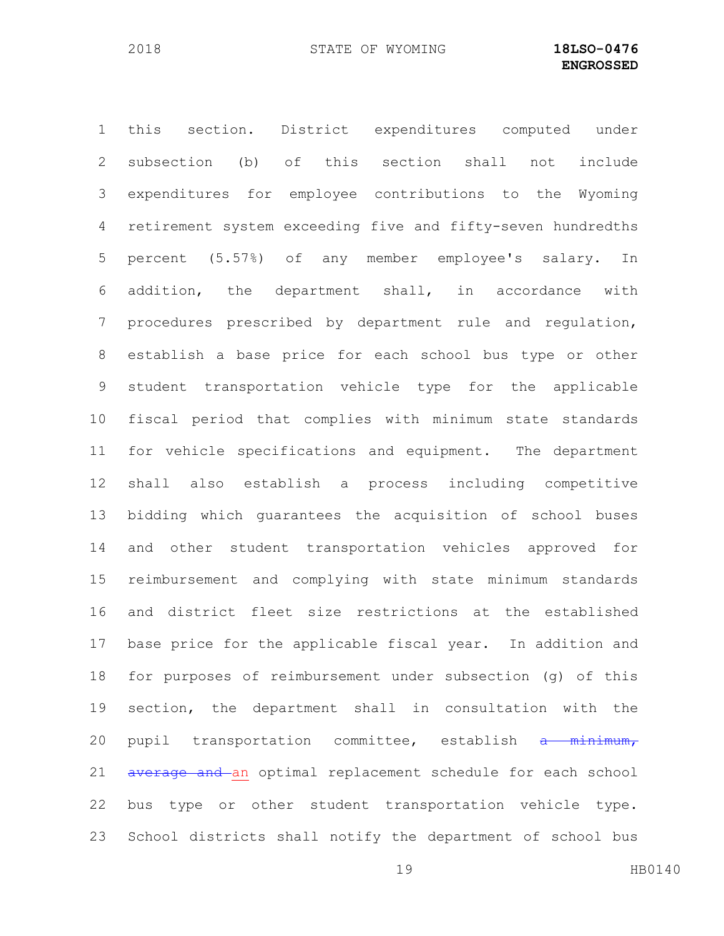this section. District expenditures computed under subsection (b) of this section shall not include expenditures for employee contributions to the Wyoming retirement system exceeding five and fifty-seven hundredths percent (5.57%) of any member employee's salary. In addition, the department shall, in accordance with procedures prescribed by department rule and regulation, establish a base price for each school bus type or other student transportation vehicle type for the applicable fiscal period that complies with minimum state standards for vehicle specifications and equipment. The department shall also establish a process including competitive bidding which guarantees the acquisition of school buses and other student transportation vehicles approved for reimbursement and complying with state minimum standards and district fleet size restrictions at the established base price for the applicable fiscal year. In addition and for purposes of reimbursement under subsection (g) of this section, the department shall in consultation with the 20 pupil transportation committee, establish a minimum, 21 average and an optimal replacement schedule for each school bus type or other student transportation vehicle type. School districts shall notify the department of school bus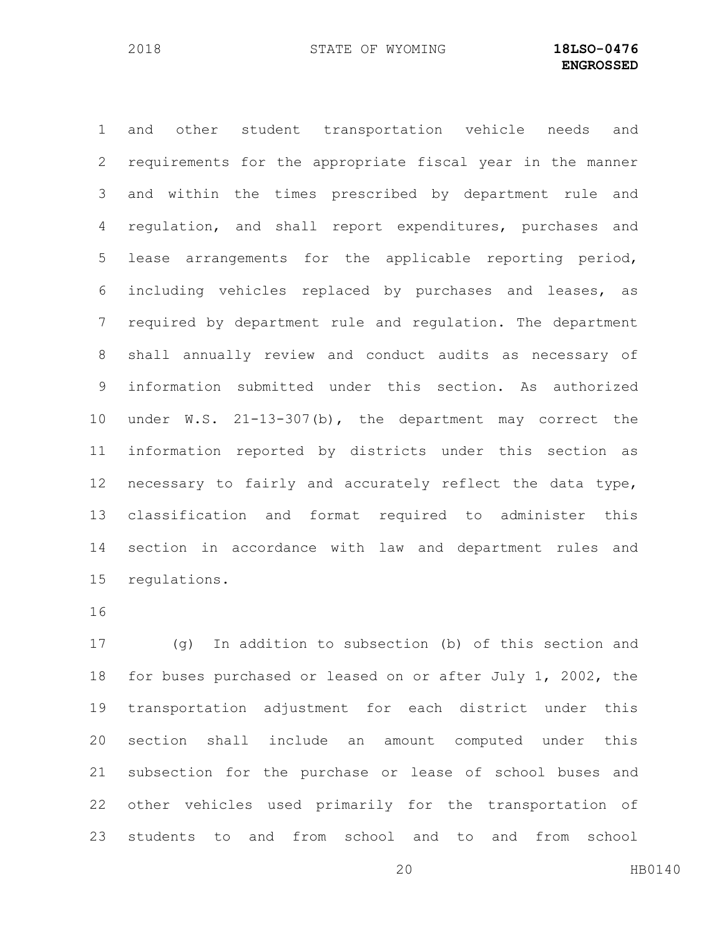and other student transportation vehicle needs and requirements for the appropriate fiscal year in the manner and within the times prescribed by department rule and regulation, and shall report expenditures, purchases and lease arrangements for the applicable reporting period, including vehicles replaced by purchases and leases, as required by department rule and regulation. The department shall annually review and conduct audits as necessary of information submitted under this section. As authorized under W.S. 21-13-307(b), the department may correct the information reported by districts under this section as necessary to fairly and accurately reflect the data type, classification and format required to administer this section in accordance with law and department rules and regulations.

 (g) In addition to subsection (b) of this section and for buses purchased or leased on or after July 1, 2002, the transportation adjustment for each district under this section shall include an amount computed under this subsection for the purchase or lease of school buses and other vehicles used primarily for the transportation of students to and from school and to and from school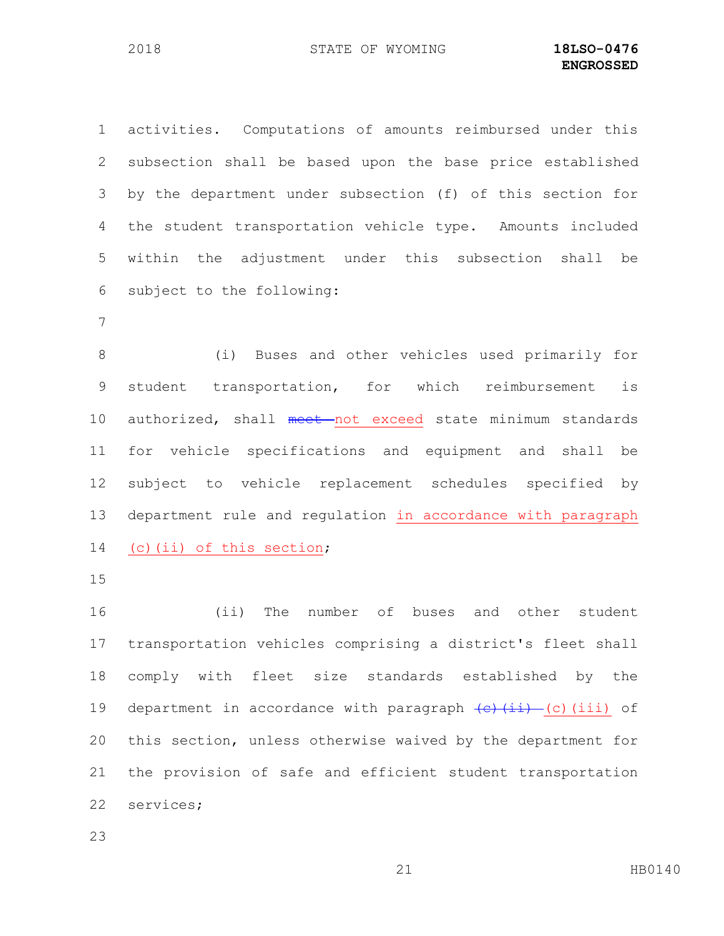activities. Computations of amounts reimbursed under this subsection shall be based upon the base price established by the department under subsection (f) of this section for the student transportation vehicle type. Amounts included within the adjustment under this subsection shall be subject to the following:

 (i) Buses and other vehicles used primarily for student transportation, for which reimbursement is 10 authorized, shall meet not exceed state minimum standards for vehicle specifications and equipment and shall be subject to vehicle replacement schedules specified by department rule and regulation in accordance with paragraph (c)(ii) of this section;

 (ii) The number of buses and other student transportation vehicles comprising a district's fleet shall comply with fleet size standards established by the 19 department in accordance with paragraph  $\overline{(c)(iii)}$  (c)(iii) of this section, unless otherwise waived by the department for the provision of safe and efficient student transportation services;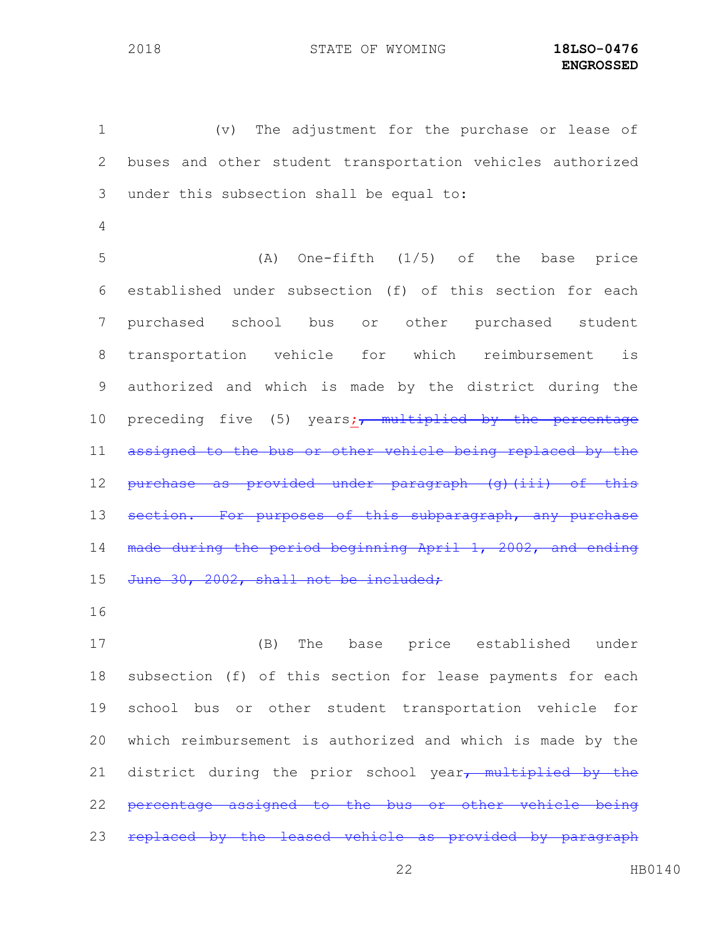(v) The adjustment for the purchase or lease of buses and other student transportation vehicles authorized under this subsection shall be equal to: (A) One-fifth (1/5) of the base price established under subsection (f) of this section for each purchased school bus or other purchased student transportation vehicle for which reimbursement is authorized and which is made by the district during the 10 preceding five (5) years;<sub>7</sub> multiplied by the percentage 11 assigned to the bus or other vehicle being replaced by the 12 purchase as provided under paragraph (g)(iii) of this 13 section. For purposes of this subparagraph, made during the period beginning April 1, 2002, and ending 15 June 30, 2002, shall not be included;

 (B) The base price established under subsection (f) of this section for lease payments for each school bus or other student transportation vehicle for which reimbursement is authorized and which is made by the 21 district during the prior school year $\tau$  multiplied by the percentage assigned to the bus or other vehicle being 23 replaced by the leased vehicle as provided by paragraph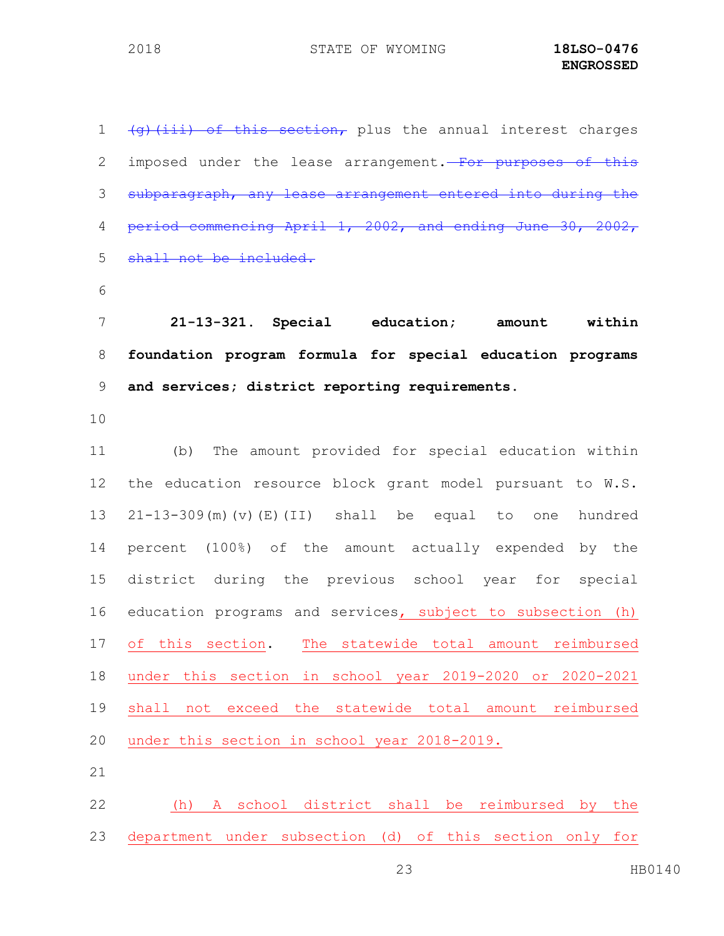$(q)$  (iii) of this section, plus the annual interest charges 2 imposed under the lease arrangement. For purposes of this subparagraph, any lease arrangement entered into during the period commencing April 1, 2002, and ending June 30, 2002, 5 shall not be included. **21-13-321. Special education; amount within foundation program formula for special education programs and services; district reporting requirements.** (b) The amount provided for special education within the education resource block grant model pursuant to W.S. 21-13-309(m)(v)(E)(II) shall be equal to one hundred percent (100%) of the amount actually expended by the district during the previous school year for special education programs and services, subject to subsection (h) of this section. The statewide total amount reimbursed under this section in school year 2019-2020 or 2020-2021 shall not exceed the statewide total amount reimbursed under this section in school year 2018-2019. (h) A school district shall be reimbursed by the

department under subsection (d) of this section only for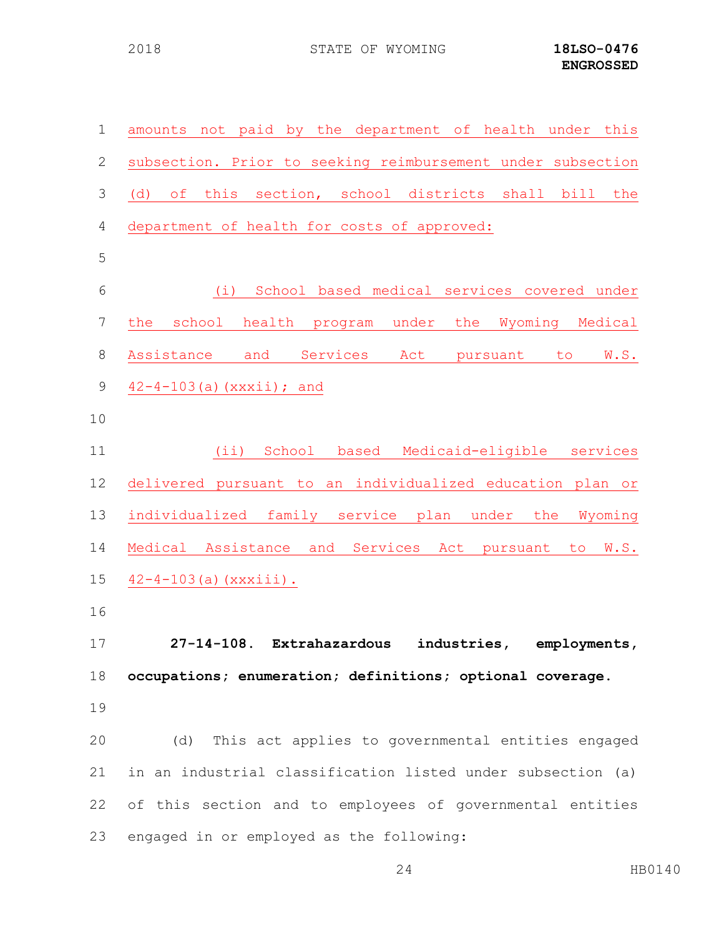| $\mathbf 1$   | amounts not paid by the department of health under this          |
|---------------|------------------------------------------------------------------|
| $\mathbf{2}$  | subsection. Prior to seeking reimbursement under subsection      |
| $\mathcal{S}$ | this section, school districts<br>shall bill<br>(d)<br>оf<br>the |
| 4             | department of health for costs of approved:                      |
| 5             |                                                                  |
| 6             | (i) School based medical services covered under                  |
| 7             | school health program under the Wyoming Medical<br>the           |
| $8\,$         | and<br>Assistance<br>Services<br>Act<br>W.S.<br>pursuant<br>to   |
| 9             | $42 - 4 - 103$ (a) $(xxxii)$ ; and                               |
| 10            |                                                                  |
| 11            | (iii)<br>School based<br>Medicaid-eligible services              |
| 12            | delivered pursuant to an individualized education plan or        |
| 13            | individualized family service plan under the<br>Wyoming          |
| 14            | Medical Assistance and Services Act pursuant to W.S.             |
| 15            | $42 - 4 - 103$ (a) (xxxiii).                                     |
| 16            |                                                                  |
| 17            | 27-14-108. Extrahazardous industries, employments,               |
| 18            | occupations; enumeration; definitions; optional coverage.        |
| 19            |                                                                  |
| 20            | (d) This act applies to governmental entities engaged            |
| 21            | in an industrial classification listed under subsection (a)      |
| 22            | of this section and to employees of governmental entities        |
| 23            | engaged in or employed as the following:                         |

HB0140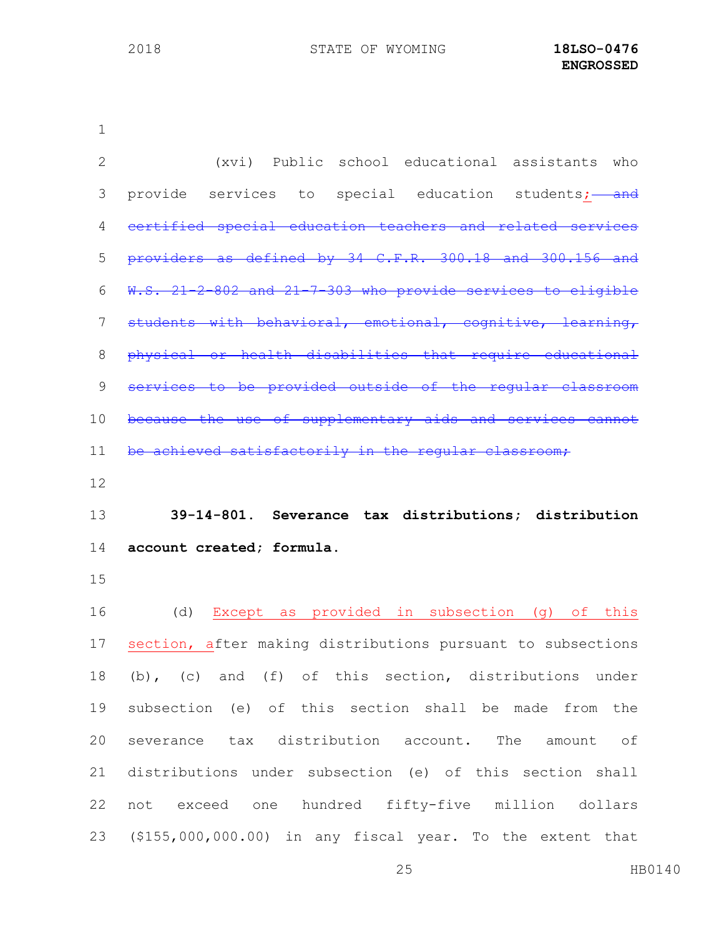| $\overline{2}$ | (xvi) Public school educational assistants who              |
|----------------|-------------------------------------------------------------|
| 3              | provide services to special education students; and         |
| 4              | certified special education teachers and related services   |
| 5              | providers as defined by 34 C.F.R. 300.18 and 300.156 and    |
| 6              | W.S. 21-2-802 and 21-7-303 who provide services to eligible |
| 7              | students with behavioral, emotional, cognitive, learning,   |
| 8              | physical or health disabilities that require educational    |
| $\mathcal{G}$  | services to be provided outside of the reqular classroom    |
| 10             | because the use of supplementary aids and services cannot   |
| 11             | be achieved satisfactorily in the reqular classroom;        |
| 12             |                                                             |
|                |                                                             |
| 13             | 39-14-801. Severance tax distributions; distribution        |
| 14             | account created; formula.                                   |
| 15             |                                                             |
| 16             | Except as provided in subsection (g) of this<br>(d)         |
| 17             | section, after making distributions pursuant to subsections |
| 18             | (b), (c) and (f) of this section, distributions under       |
| 19             | subsection (e) of this section shall be made from the       |
| 20             | severance tax distribution account. The amount of           |
| 21             | distributions under subsection (e) of this section shall    |
| 22             | not exceed one hundred fifty-five million dollars           |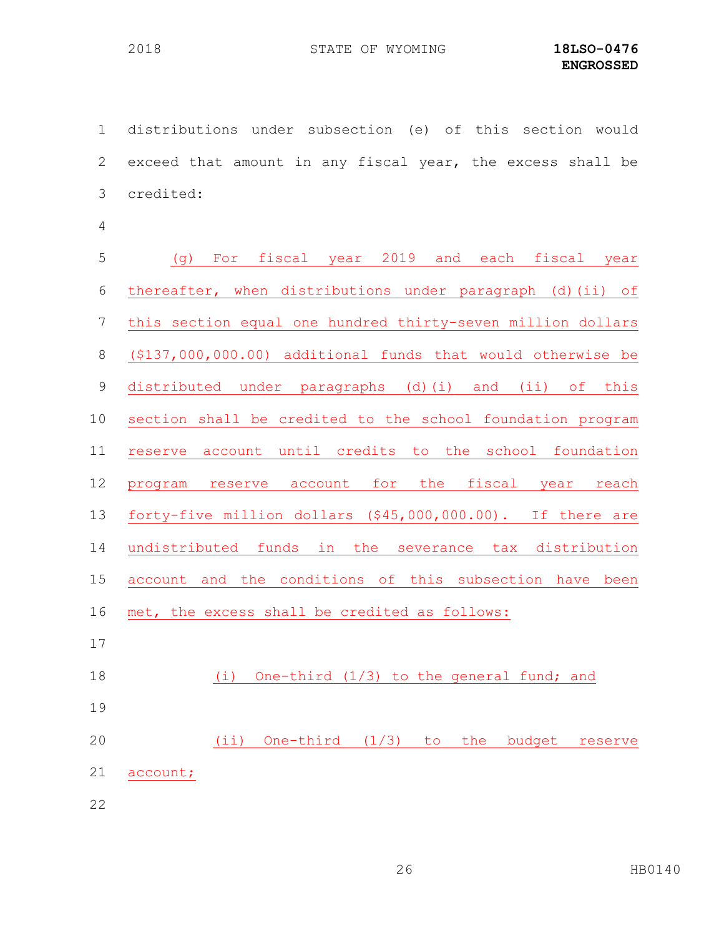distributions under subsection (e) of this section would exceed that amount in any fiscal year, the excess shall be credited:

| 5               | For fiscal year 2019 and each fiscal year<br>(၂)            |
|-----------------|-------------------------------------------------------------|
| 6               | thereafter, when distributions under paragraph (d) (ii) of  |
| $7\phantom{.0}$ | this section equal one hundred thirty-seven million dollars |
| $8\,$           | (\$137,000,000.00) additional funds that would otherwise be |
| $\mathsf 9$     | distributed under paragraphs (d)(i) and (ii) of this        |
| 10              | section shall be credited to the school foundation program  |
| 11              | reserve account until credits to the school foundation      |
| 12              | for the fiscal year reach<br>program reserve account        |
| 13              | forty-five million dollars (\$45,000,000.00). If there are  |
| 14              | undistributed funds in the severance tax distribution       |
| 15              | account and the conditions of this subsection have been     |
| 16              | met, the excess shall be credited as follows:               |
| 17              |                                                             |
| 18              | One-third $(1/3)$ to the general fund; and<br>(i)           |
| $1 \cap$        |                                                             |

 (ii) One-third (1/3) to the budget reserve account;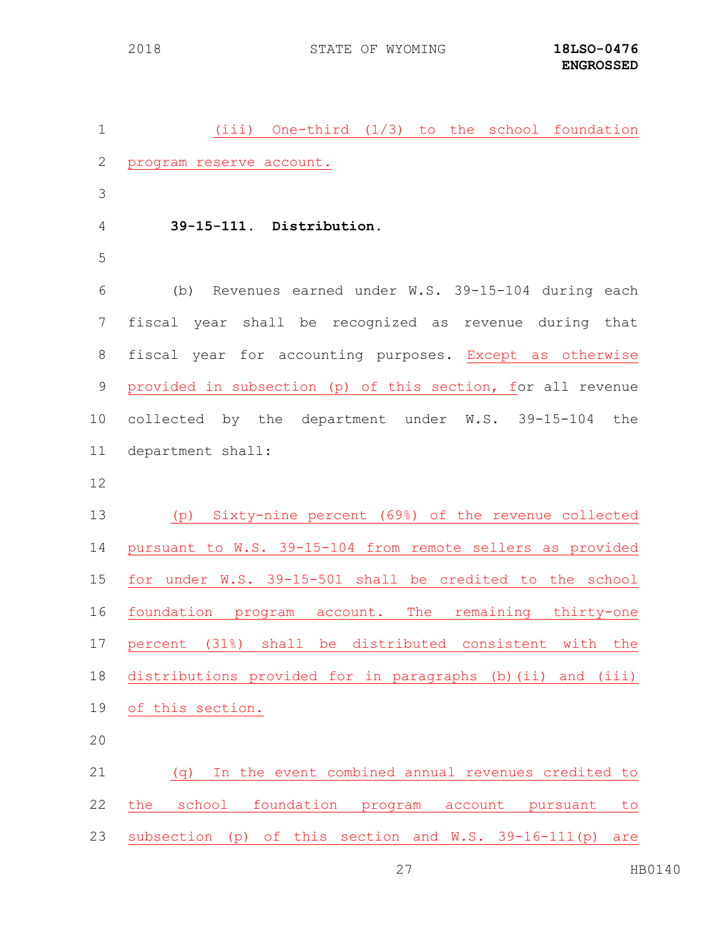(iii) One-third (1/3) to the school foundation program reserve account. **39-15-111. Distribution.** (b) Revenues earned under W.S. 39-15-104 during each fiscal year shall be recognized as revenue during that fiscal year for accounting purposes. Except as otherwise provided in subsection (p) of this section, for all revenue collected by the department under W.S. 39-15-104 the department shall: (p) Sixty-nine percent (69%) of the revenue collected pursuant to W.S. 39-15-104 from remote sellers as provided for under W.S. 39-15-501 shall be credited to the school foundation program account. The remaining thirty-one percent (31%) shall be distributed consistent with the distributions provided for in paragraphs (b)(ii) and (iii) of this section. (q) In the event combined annual revenues credited to the school foundation program account pursuant to subsection (p) of this section and W.S. 39-16-111(p) are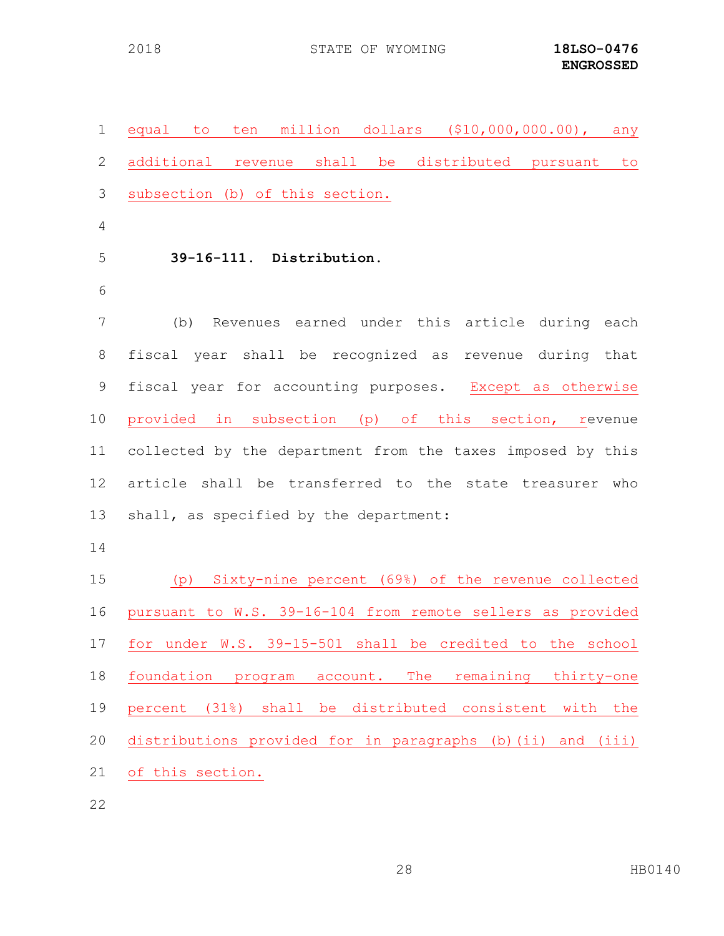| $\mathbf 1$ | million dollars (\$10,000,000.00), any<br>to<br>ten<br>equal     |
|-------------|------------------------------------------------------------------|
| 2           | additional revenue shall be<br>distributed pursuant<br>to        |
| 3           | subsection (b) of this section.                                  |
| 4           |                                                                  |
| 5           | 39-16-111. Distribution.                                         |
| 6           |                                                                  |
| 7           | Revenues earned under this article during each<br>(b)            |
| 8           | fiscal year shall be recognized as revenue during that           |
| $\mathsf 9$ | fiscal year for accounting purposes. Except as otherwise         |
| 10          | provided in subsection (p) of this section, revenue              |
| 11          | collected by the department from the taxes imposed by this       |
| 12          | article shall be transferred to the state treasurer who          |
| 13          | shall, as specified by the department:                           |
| 14          |                                                                  |
| 15          | (p) Sixty-nine percent (69%) of the revenue collected            |
| 16          | pursuant to W.S. 39-16-104 from remote sellers as provided       |
| 17          | for under W.S. 39-15-501 shall be credited to the school         |
| 18          | foundation program<br>The<br>remaining<br>thirty-one<br>account. |
| 19          | percent (31%) shall be distributed consistent<br>with the        |
| 20          | distributions provided for in paragraphs (b)(ii) and (iii)       |
| 21          | of this section.                                                 |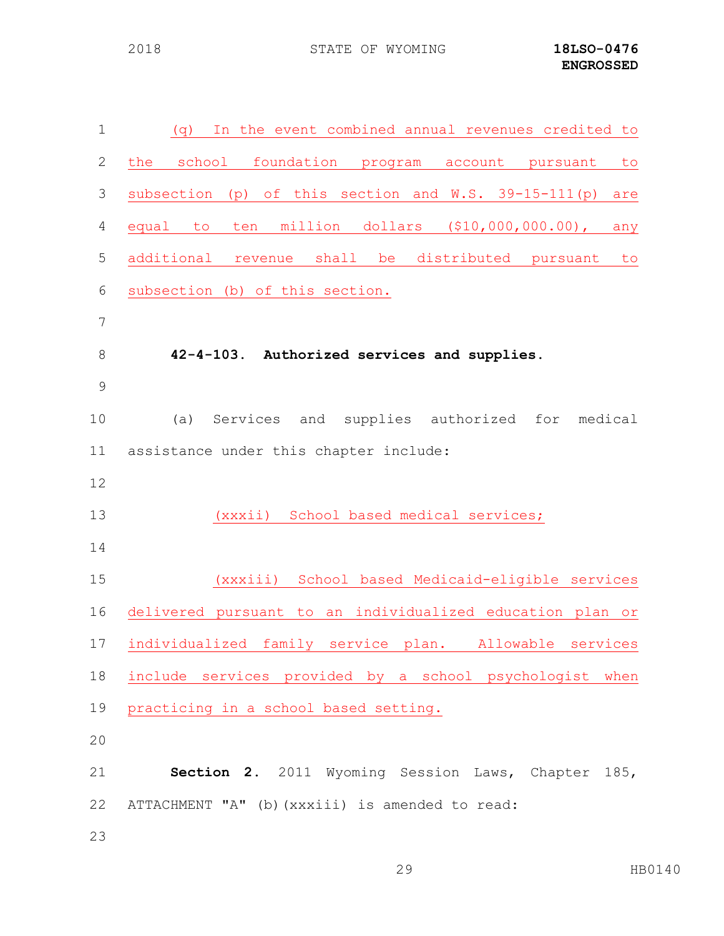| $\mathbf 1$     | In the event combined annual revenues credited to<br>(q)     |  |  |
|-----------------|--------------------------------------------------------------|--|--|
| $\mathbf{2}$    | school foundation program account pursuant<br>the<br>to      |  |  |
| $\mathfrak{Z}$  | subsection (p) of this section and W.S. 39-15-111(p)<br>are  |  |  |
| $\overline{4}$  | ten million dollars (\$10,000,000.00),<br>equal to<br>any    |  |  |
| 5               | distributed pursuant<br>additional<br>revenue shall be<br>to |  |  |
| $6\,$           | subsection (b) of this section.                              |  |  |
| $7\phantom{.0}$ |                                                              |  |  |
| $8\,$           | 42-4-103. Authorized services and supplies.                  |  |  |
| 9               |                                                              |  |  |
| 10              | (a) Services and supplies authorized for<br>medical          |  |  |
| 11              | assistance under this chapter include:                       |  |  |
| 12              |                                                              |  |  |
| 13              | (xxxii) School based medical services;                       |  |  |
| 14              |                                                              |  |  |
| 15              | (xxxiii) School based Medicaid-eligible services             |  |  |
| 16              | delivered pursuant to an individualized education plan or    |  |  |
| 17              | individualized family service plan. Allowable services       |  |  |
| 18              | include services provided by a school psychologist when      |  |  |
| 19              | practicing in a school based setting.                        |  |  |
| 20              |                                                              |  |  |
| 21              | Section 2. 2011 Wyoming Session Laws, Chapter 185,           |  |  |
| 22              | ATTACHMENT "A" (b) (xxxiii) is amended to read:              |  |  |
| 23              |                                                              |  |  |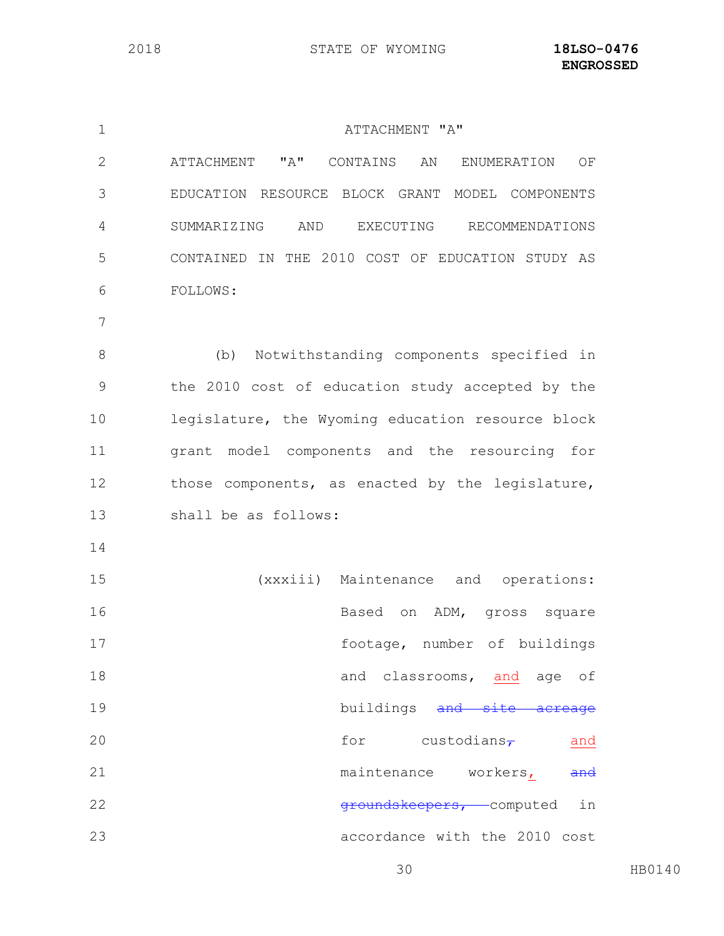| $\mathbf 1$ | ATTACHMENT "A"                                        |
|-------------|-------------------------------------------------------|
| 2           | "A"<br>CONTAINS AN<br>ATTACHMENT<br>ENUMERATION<br>ΟF |
| 3           | EDUCATION RESOURCE BLOCK GRANT MODEL COMPONENTS       |
| 4           | AND<br>SUMMARIZING<br>EXECUTING RECOMMENDATIONS       |
| 5           | CONTAINED IN THE 2010 COST OF EDUCATION STUDY AS      |
| 6           | FOLLOWS:                                              |
| 7           |                                                       |
| 8           | Notwithstanding components specified in<br>(b)        |
| 9           | the 2010 cost of education study accepted by the      |
| 10          | legislature, the Wyoming education resource block     |
| 11          | grant model components and the resourcing for         |
| 12          | those components, as enacted by the legislature,      |
| 13          | shall be as follows:                                  |
| 14          |                                                       |
| 15          | (xxxiii) Maintenance and operations:                  |
| 16          | Based<br>on ADM, gross square                         |
| 17          | footage, number of buildings                          |
| 18          | and classrooms, and age of                            |
| 19          | buildings and site acreage                            |
| 20          | for custodians <sub>7</sub><br>and                    |
| 21          | maintenance workers,<br>and                           |
| 22          | groundskeepers, computed in                           |
| 23          | accordance with the 2010 cost                         |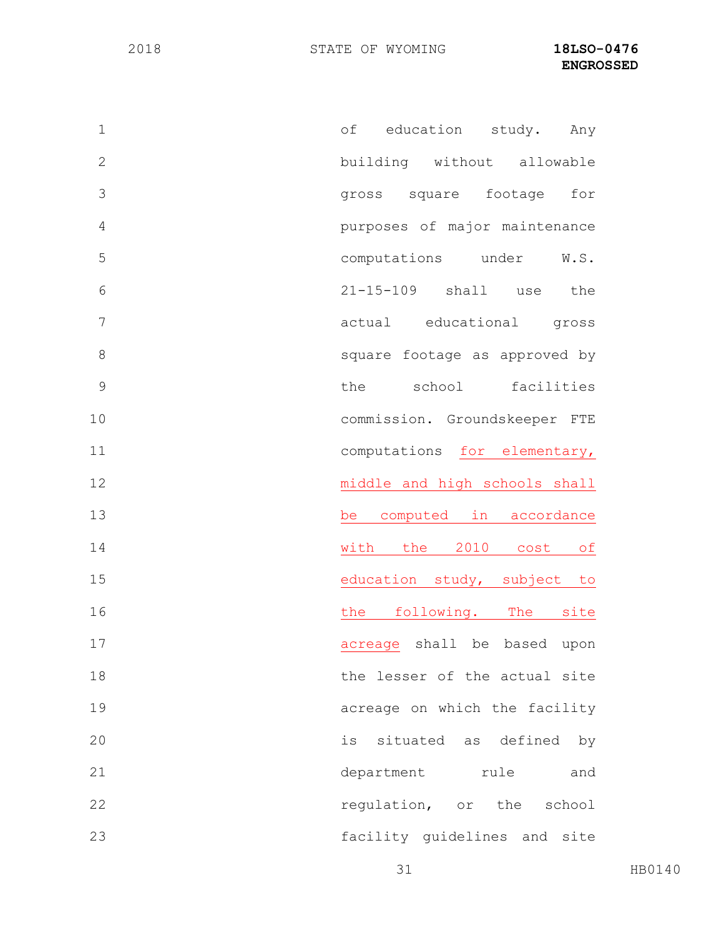| $\mathbf 1$   | education<br>оf<br>study.<br>Any  |
|---------------|-----------------------------------|
| $\mathbf{2}$  | building without allowable        |
| 3             | gross square footage<br>for       |
| 4             | purposes of major maintenance     |
| 5             | computations under<br>W.S.        |
| 6             | 21-15-109 shall<br>the<br>use     |
| 7             | actual educational<br>gross       |
| 8             | square footage as approved by     |
| $\mathcal{G}$ | school<br>facilities<br>the       |
| 10            | commission. Groundskeeper FTE     |
| 11            | computations for elementary,      |
| 12            | middle and high schools shall     |
| 13            | be computed in accordance         |
| 14            | 2010<br>with the<br>cost<br>of    |
| 15            | education study, subject to       |
| 16            | following. The<br>the<br>site     |
| 17            | shall be based<br>upon<br>acreage |
| 18            | the lesser of the actual site     |
| 19            | acreage on which the facility     |
| 20            | situated as defined<br>is<br>by   |
| 21            | department rule<br>and            |
| 22            | regulation, or the school         |
| 23            | facility guidelines and site      |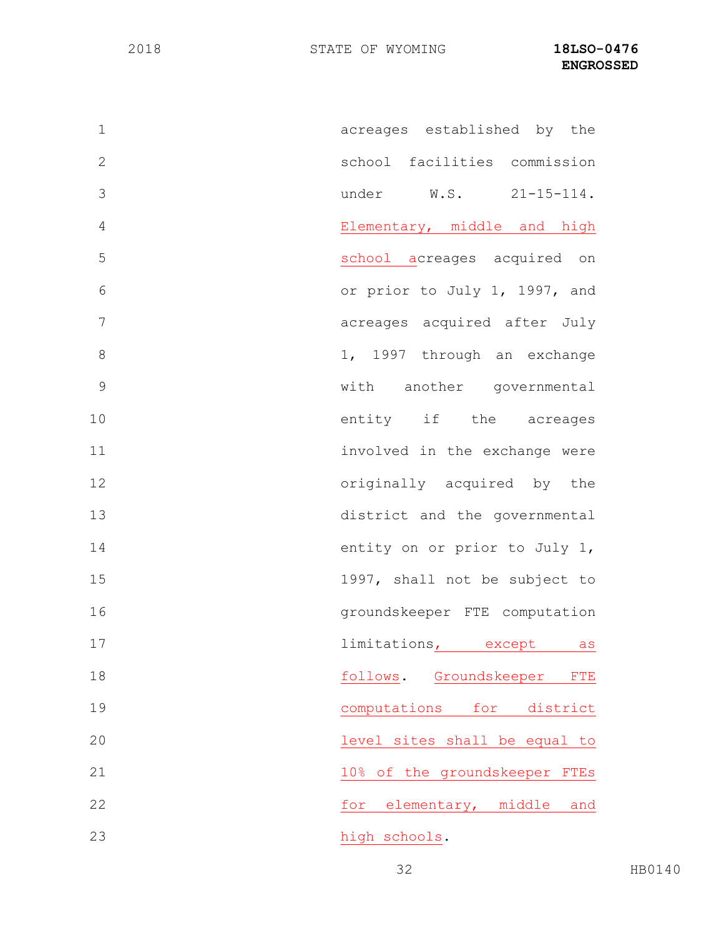| $\mathbf 1$    | acreages established by the             |
|----------------|-----------------------------------------|
| $\overline{2}$ | school facilities commission            |
| 3              | under $W.S.$ 21-15-114.                 |
| $\overline{4}$ | Elementary, middle and high             |
| 5              | school acreages acquired on             |
| 6              | or prior to July 1, 1997, and           |
| 7              | acreages acquired after July            |
| 8              | 1, 1997 through an exchange             |
| $\mathcal{G}$  | with another governmental               |
| 10             | entity if the acreages                  |
| 11             | involved in the exchange were           |
| 12             | originally acquired by the              |
| 13             | district and the governmental           |
| 14             | entity on or prior to July 1,           |
| 15             | 1997, shall not be subject to           |
| 16             | groundskeeper FTE computation           |
| 17             | limitations <sub>1</sub> except as      |
| 18             | Groundskeeper<br>follows.<br><b>FTE</b> |
| 19             | computations<br>for<br>district         |
| 20             | level sites shall be equal to           |
| 21             | 10% of the groundskeeper<br><b>FTES</b> |
| 22             | elementary, middle<br>for<br>and        |
| 23             | high schools.                           |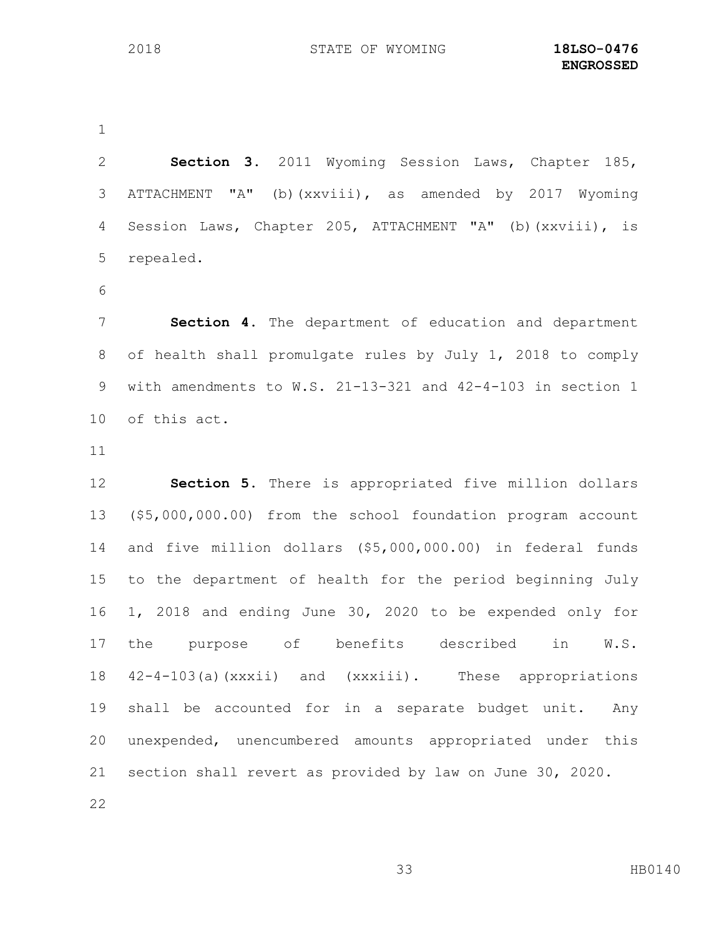**Section 3.** 2011 Wyoming Session Laws, Chapter 185, ATTACHMENT "A" (b)(xxviii), as amended by 2017 Wyoming Session Laws, Chapter 205, ATTACHMENT "A" (b)(xxviii), is repealed.

 **Section 4**. The department of education and department of health shall promulgate rules by July 1, 2018 to comply with amendments to W.S. 21-13-321 and 42-4-103 in section 1 of this act.

 **Section 5.** There is appropriated five million dollars (\$5,000,000.00) from the school foundation program account and five million dollars (\$5,000,000.00) in federal funds to the department of health for the period beginning July 1, 2018 and ending June 30, 2020 to be expended only for 17 the purpose of benefits described in W.S. 42-4-103(a)(xxxii) and (xxxiii). These appropriations shall be accounted for in a separate budget unit. Any unexpended, unencumbered amounts appropriated under this section shall revert as provided by law on June 30, 2020.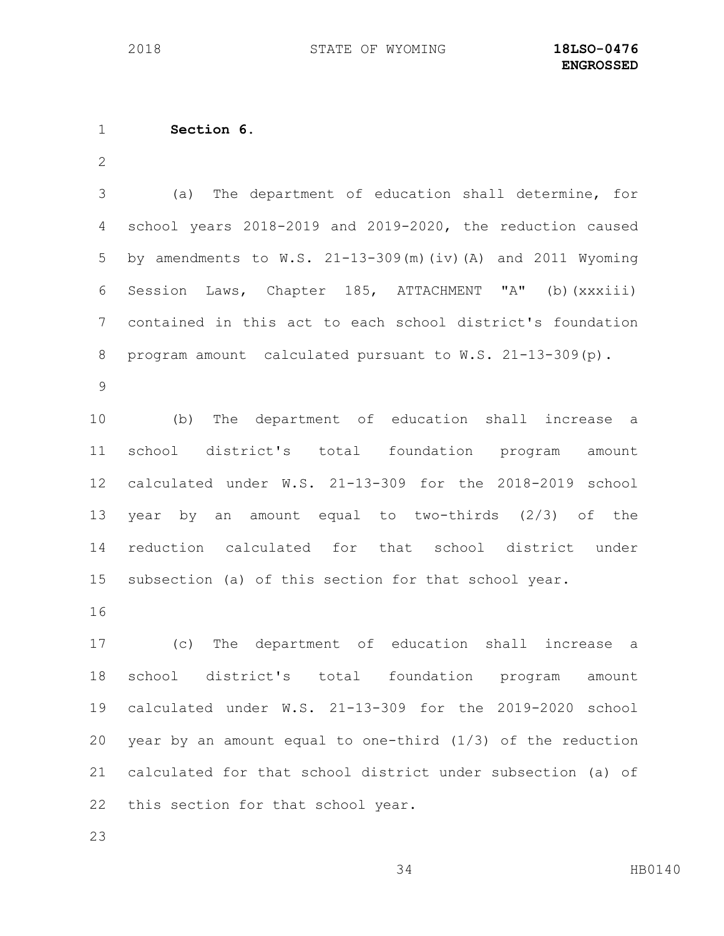**Section 6.** 

 (a) The department of education shall determine, for school years 2018-2019 and 2019-2020, the reduction caused by amendments to W.S. 21-13-309(m)(iv)(A) and 2011 Wyoming Session Laws, Chapter 185, ATTACHMENT "A" (b)(xxxiii) contained in this act to each school district's foundation program amount calculated pursuant to W.S. 21-13-309(p).

 (b) The department of education shall increase a school district's total foundation program amount calculated under W.S. 21-13-309 for the 2018-2019 school year by an amount equal to two-thirds (2/3) of the reduction calculated for that school district under subsection (a) of this section for that school year.

 (c) The department of education shall increase a school district's total foundation program amount calculated under W.S. 21-13-309 for the 2019-2020 school year by an amount equal to one-third (1/3) of the reduction calculated for that school district under subsection (a) of this section for that school year.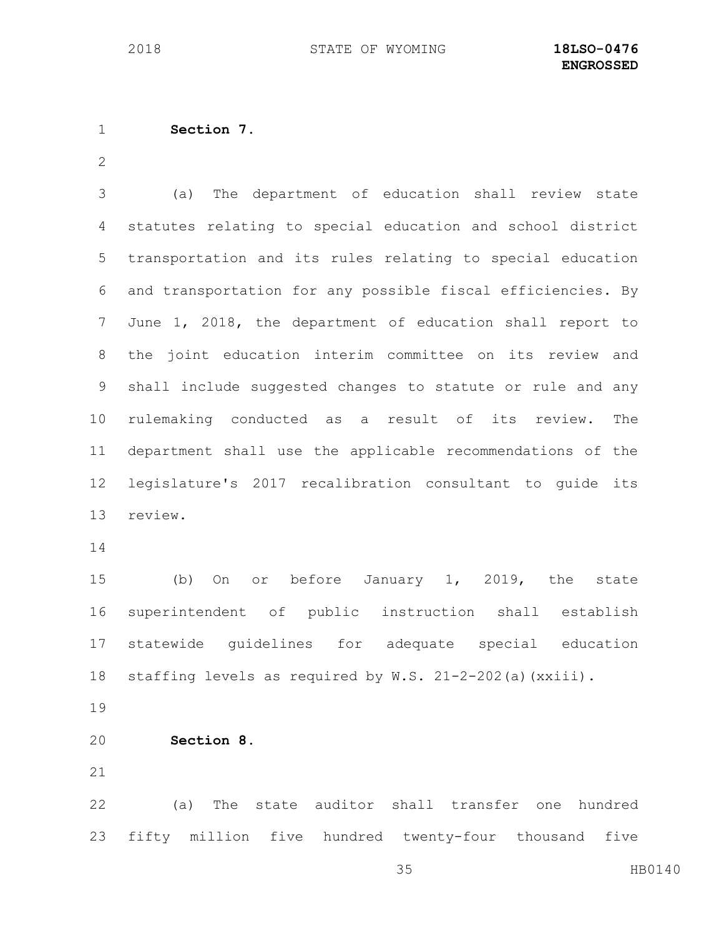```
1 Section 7.
```
 (a) The department of education shall review state statutes relating to special education and school district transportation and its rules relating to special education and transportation for any possible fiscal efficiencies. By June 1, 2018, the department of education shall report to the joint education interim committee on its review and shall include suggested changes to statute or rule and any rulemaking conducted as a result of its review. The department shall use the applicable recommendations of the legislature's 2017 recalibration consultant to guide its review.

 (b) On or before January 1, 2019, the state superintendent of public instruction shall establish statewide guidelines for adequate special education 18 staffing levels as required by W.S. 21-2-202(a)(xxiii).

**Section 8.**

 (a) The state auditor shall transfer one hundred fifty million five hundred twenty-four thousand five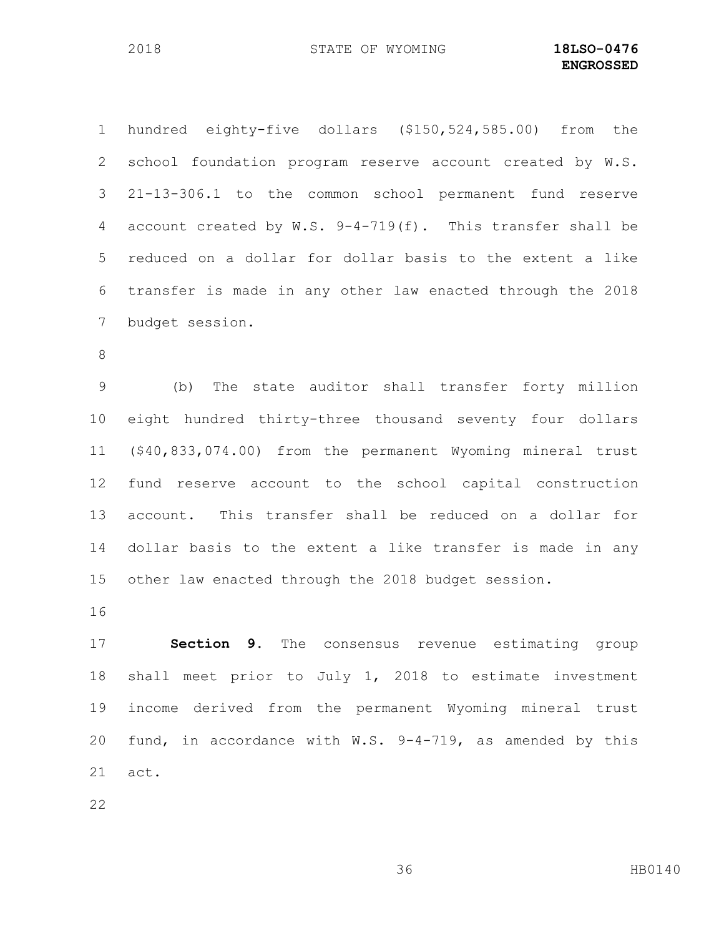hundred eighty-five dollars (\$150,524,585.00) from the school foundation program reserve account created by W.S. 21-13-306.1 to the common school permanent fund reserve account created by W.S. 9-4-719(f). This transfer shall be reduced on a dollar for dollar basis to the extent a like transfer is made in any other law enacted through the 2018 budget session.

 (b) The state auditor shall transfer forty million eight hundred thirty-three thousand seventy four dollars (\$40,833,074.00) from the permanent Wyoming mineral trust fund reserve account to the school capital construction account. This transfer shall be reduced on a dollar for dollar basis to the extent a like transfer is made in any other law enacted through the 2018 budget session.

 **Section 9.** The consensus revenue estimating group shall meet prior to July 1, 2018 to estimate investment income derived from the permanent Wyoming mineral trust fund, in accordance with W.S. 9-4-719, as amended by this act.

HB0140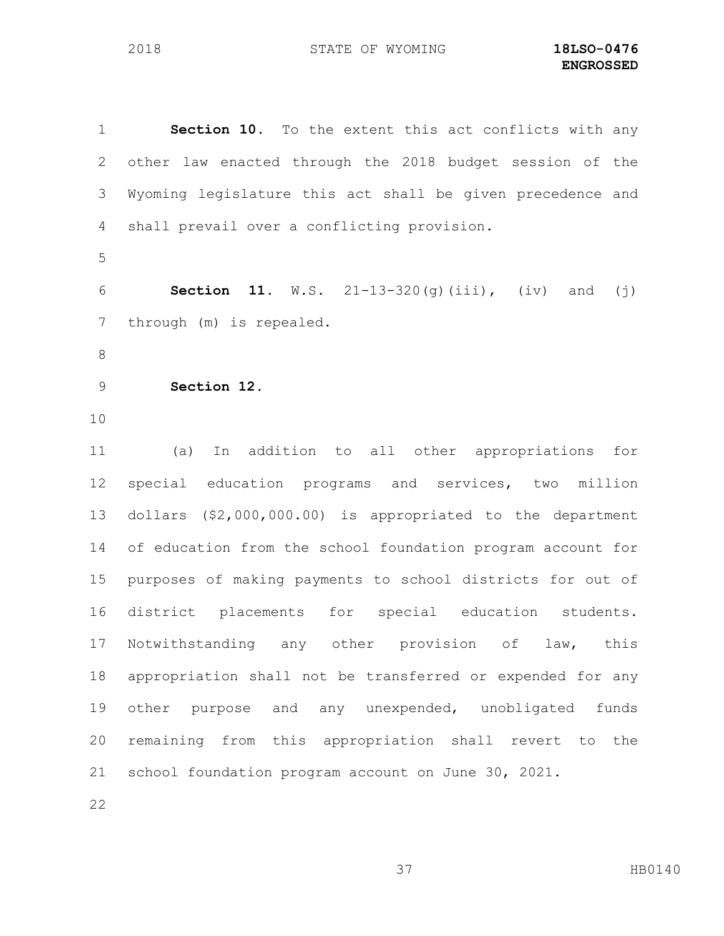**Section 10.** To the extent this act conflicts with any other law enacted through the 2018 budget session of the Wyoming legislature this act shall be given precedence and shall prevail over a conflicting provision. **Section 11.** W.S. 21-13-320(g)(iii), (iv) and (j) through (m) is repealed. **Section 12.**  (a) In addition to all other appropriations for special education programs and services, two million dollars (\$2,000,000.00) is appropriated to the department of education from the school foundation program account for purposes of making payments to school districts for out of district placements for special education students. 17 Notwithstanding any other provision of law, this appropriation shall not be transferred or expended for any other purpose and any unexpended, unobligated funds remaining from this appropriation shall revert to the school foundation program account on June 30, 2021.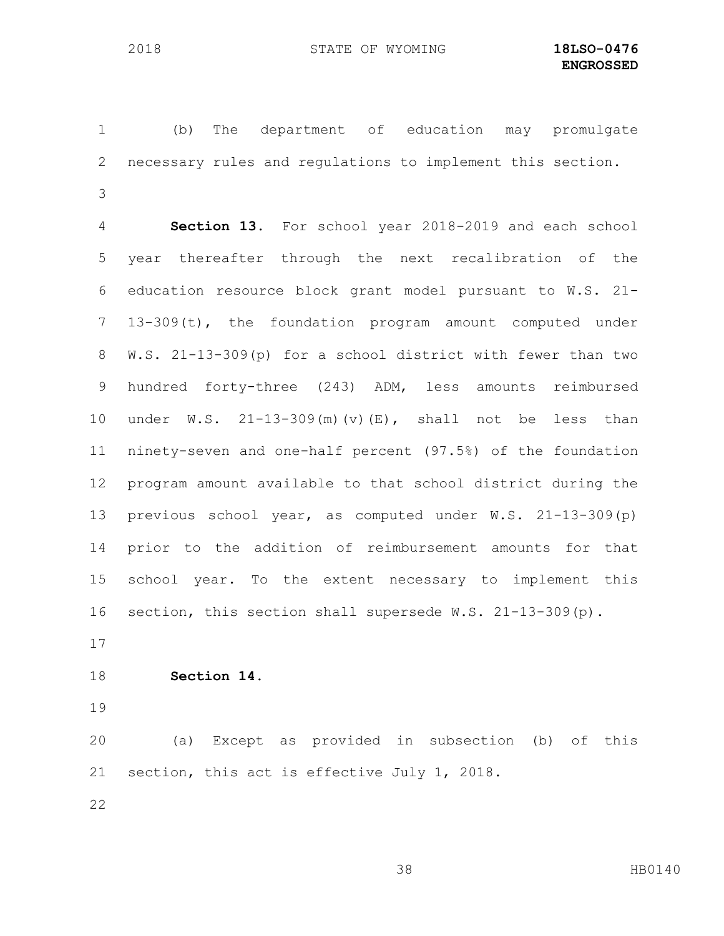(b) The department of education may promulgate necessary rules and regulations to implement this section. 

 **Section 13.** For school year 2018-2019 and each school year thereafter through the next recalibration of the education resource block grant model pursuant to W.S. 21- 13-309(t), the foundation program amount computed under W.S. 21-13-309(p) for a school district with fewer than two hundred forty-three (243) ADM, less amounts reimbursed under W.S. 21-13-309(m)(v)(E), shall not be less than ninety-seven and one-half percent (97.5%) of the foundation program amount available to that school district during the previous school year, as computed under W.S. 21-13-309(p) prior to the addition of reimbursement amounts for that school year. To the extent necessary to implement this section, this section shall supersede W.S. 21-13-309(p).

**Section 14.**

 (a) Except as provided in subsection (b) of this section, this act is effective July 1, 2018**.**

HB0140